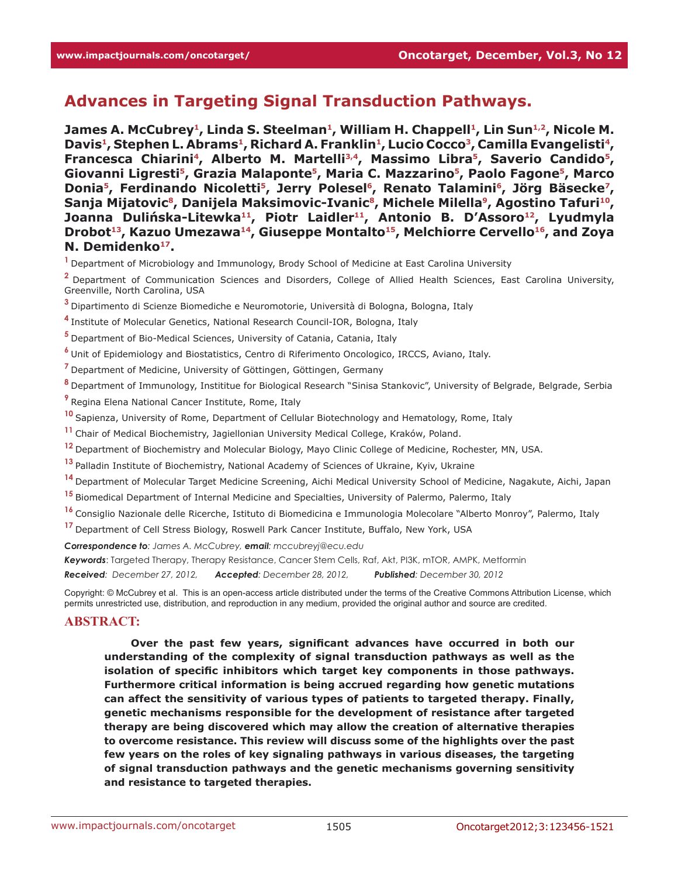# **Advances in Targeting Signal Transduction Pathways.**

James A. McCubrey<sup>1</sup>, Linda S. Steelman<sup>1</sup>, William H. Chappell<sup>1</sup>, Lin Sun<sup>1,2</sup>, Nicole M. Davis<sup>1</sup>, Stephen L. Abrams<sup>1</sup>, Richard A. Franklin<sup>1</sup>, Lucio Cocco<sup>3</sup>, Camilla Evangelisti<sup>4</sup>, **Francesca Chiarini4, Alberto M. Martelli3,4, Massimo Libra5, Saverio Candido5, Giovanni Ligresti5, Grazia Malaponte5, Maria C. Mazzarino5, Paolo Fagone5, Marco**  Donia<sup>5</sup>, Ferdinando Nicoletti<sup>5</sup>, Jerry Polesel<sup>6</sup>, Renato Talamini<sup>6</sup>, Jörg Bäsecke<sup>7</sup>, Sanja Mijatovic<sup>8</sup>, Danijela Maksimovic-Ivanic<sup>8</sup>, Michele Milella<sup>9</sup>, Agostino Tafuri<sup>10</sup>, Joanna Dulińska-Litewka<sup>11</sup>, Piotr Laidler<sup>11</sup>, Antonio B. D'Assoro<sup>12</sup>, Lyudmyla Drobot<sup>13</sup>, Kazuo Umezawa<sup>14</sup>, Giuseppe Montalto<sup>15</sup>, Melchiorre Cervello<sup>16</sup>, and Zoya **N. Demidenko17.**

**<sup>1</sup>**Department of Microbiology and Immunology, Brody School of Medicine at East Carolina University

**<sup>2</sup>**Department of Communication Sciences and Disorders, College of Allied Health Sciences, East Carolina University, Greenville, North Carolina, USA

**<sup>3</sup>**Dipartimento di Scienze Biomediche e Neuromotorie, Università di Bologna, Bologna, Italy

**<sup>4</sup>**Institute of Molecular Genetics, National Research Council-IOR, Bologna, Italy

**<sup>5</sup>**Department of Bio-Medical Sciences, University of Catania, Catania, Italy

**<sup>6</sup>**Unit of Epidemiology and Biostatistics, Centro di Riferimento Oncologico, IRCCS, Aviano, Italy.

**<sup>7</sup>**Department of Medicine, University of Göttingen, Göttingen, Germany

**<sup>8</sup>**Department of Immunology, Instititue for Biological Research "Sinisa Stankovic", University of Belgrade, Belgrade, Serbia

**<sup>9</sup>**Regina Elena National Cancer Institute, Rome, Italy

**<sup>10</sup>**Sapienza, University of Rome, Department of Cellular Biotechnology and Hematology, Rome, Italy

**<sup>11</sup>**Chair of Medical Biochemistry, Jagiellonian University Medical College, Kraków, Poland.

**<sup>12</sup>**Department of Biochemistry and Molecular Biology, Mayo Clinic College of Medicine, Rochester, MN, USA.

**<sup>13</sup>**Palladin Institute of Biochemistry, National Academy of Sciences of Ukraine, Kyiv, Ukraine

**<sup>14</sup>**Department of Molecular Target Medicine Screening, Aichi Medical University School of Medicine, Nagakute, Aichi, Japan

**<sup>15</sup>**Biomedical Department of Internal Medicine and Specialties, University of Palermo, Palermo, Italy

**<sup>16</sup>**Consiglio Nazionale delle Ricerche, Istituto di Biomedicina e Immunologia Molecolare "Alberto Monroy", Palermo, Italy

**<sup>17</sup>**Department of Cell Stress Biology, Roswell Park Cancer Institute, Buffalo, New York, USA

*Correspondence to: James A. McCubrey, email: mccubreyj@ecu.edu*

*Keywords*: Targeted Therapy, Therapy Resistance, Cancer Stem Cells, Raf, Akt, PI3K, mTOR, AMPK, Metformin

*Received: December 27, 2012, Accepted: December 28, 2012, Published: December 30, 2012*

Copyright: © McCubrey et al. This is an open-access article distributed under the terms of the Creative Commons Attribution License, which permits unrestricted use, distribution, and reproduction in any medium, provided the original author and source are credited.

#### **ABSTRACT:**

**Over the past few years, significant advances have occurred in both our understanding of the complexity of signal transduction pathways as well as the isolation of specific inhibitors which target key components in those pathways. Furthermore critical information is being accrued regarding how genetic mutations can affect the sensitivity of various types of patients to targeted therapy. Finally, genetic mechanisms responsible for the development of resistance after targeted therapy are being discovered which may allow the creation of alternative therapies to overcome resistance. This review will discuss some of the highlights over the past few years on the roles of key signaling pathways in various diseases, the targeting of signal transduction pathways and the genetic mechanisms governing sensitivity and resistance to targeted therapies.**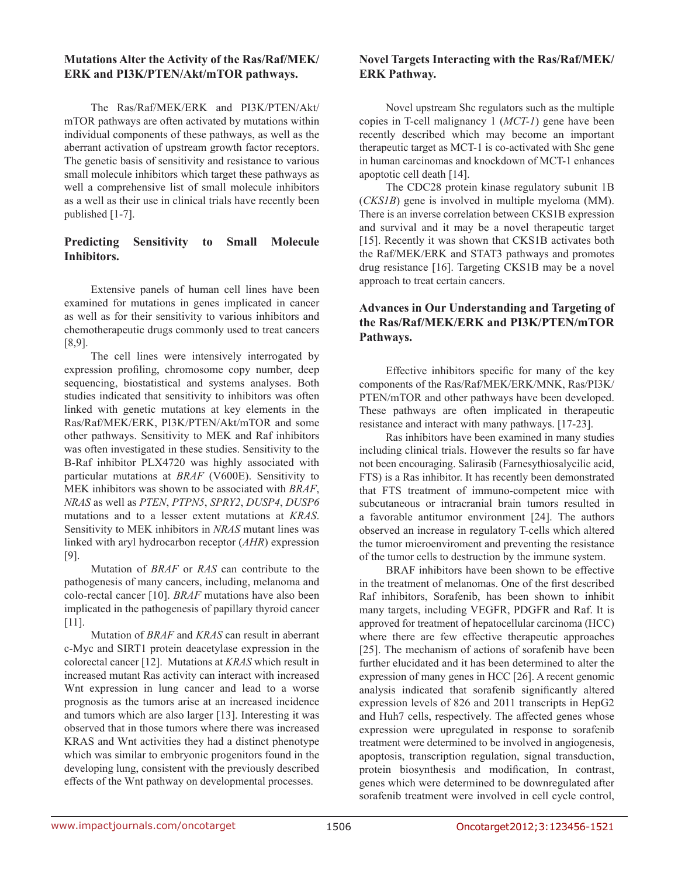#### **Mutations Alter the Activity of the Ras/Raf/MEK/ ERK and PI3K/PTEN/Akt/mTOR pathways.**

The Ras/Raf/MEK/ERK and PI3K/PTEN/Akt/ mTOR pathways are often activated by mutations within individual components of these pathways, as well as the aberrant activation of upstream growth factor receptors. The genetic basis of sensitivity and resistance to various small molecule inhibitors which target these pathways as well a comprehensive list of small molecule inhibitors as a well as their use in clinical trials have recently been published [1-7].

## **Predicting Sensitivity to Small Molecule Inhibitors.**

Extensive panels of human cell lines have been examined for mutations in genes implicated in cancer as well as for their sensitivity to various inhibitors and chemotherapeutic drugs commonly used to treat cancers [8,9].

The cell lines were intensively interrogated by expression profiling, chromosome copy number, deep sequencing, biostatistical and systems analyses. Both studies indicated that sensitivity to inhibitors was often linked with genetic mutations at key elements in the Ras/Raf/MEK/ERK, PI3K/PTEN/Akt/mTOR and some other pathways. Sensitivity to MEK and Raf inhibitors was often investigated in these studies. Sensitivity to the B-Raf inhibitor PLX4720 was highly associated with particular mutations at *BRAF* (V600E). Sensitivity to MEK inhibitors was shown to be associated with *BRAF*, *NRAS* as well as *PTEN*, *PTPN5*, *SPRY2*, *DUSP4*, *DUSP6* mutations and to a lesser extent mutations at *KRAS*. Sensitivity to MEK inhibitors in *NRAS* mutant lines was linked with aryl hydrocarbon receptor (*AHR*) expression [9].

Mutation of *BRAF* or *RAS* can contribute to the pathogenesis of many cancers, including, melanoma and colo-rectal cancer [10]. *BRAF* mutations have also been implicated in the pathogenesis of papillary thyroid cancer [11].

Mutation of *BRAF* and *KRAS* can result in aberrant c-Myc and SIRT1 protein deacetylase expression in the colorectal cancer [12]. Mutations at *KRAS* which result in increased mutant Ras activity can interact with increased Wnt expression in lung cancer and lead to a worse prognosis as the tumors arise at an increased incidence and tumors which are also larger [13]. Interesting it was observed that in those tumors where there was increased KRAS and Wnt activities they had a distinct phenotype which was similar to embryonic progenitors found in the developing lung, consistent with the previously described effects of the Wnt pathway on developmental processes.

## **Novel Targets Interacting with the Ras/Raf/MEK/ ERK Pathway.**

Novel upstream Shc regulators such as the multiple copies in T-cell malignancy 1 (*MCT-1*) gene have been recently described which may become an important therapeutic target as MCT-1 is co-activated with Shc gene in human carcinomas and knockdown of MCT-1 enhances apoptotic cell death [14].

The CDC28 protein kinase regulatory subunit 1B (*CKS1B*) gene is involved in multiple myeloma (MM). There is an inverse correlation between CKS1B expression and survival and it may be a novel therapeutic target [15]. Recently it was shown that CKS1B activates both the Raf/MEK/ERK and STAT3 pathways and promotes drug resistance [16]. Targeting CKS1B may be a novel approach to treat certain cancers.

# **Advances in Our Understanding and Targeting of the Ras/Raf/MEK/ERK and PI3K/PTEN/mTOR Pathways.**

Effective inhibitors specific for many of the key components of the Ras/Raf/MEK/ERK/MNK, Ras/PI3K/ PTEN/mTOR and other pathways have been developed. These pathways are often implicated in therapeutic resistance and interact with many pathways. [17-23].

Ras inhibitors have been examined in many studies including clinical trials. However the results so far have not been encouraging. Salirasib (Farnesythiosalycilic acid, FTS) is a Ras inhibitor. It has recently been demonstrated that FTS treatment of immuno-competent mice with subcutaneous or intracranial brain tumors resulted in a favorable antitumor environment [24]. The authors observed an increase in regulatory T-cells which altered the tumor microenviroment and preventing the resistance of the tumor cells to destruction by the immune system.

BRAF inhibitors have been shown to be effective in the treatment of melanomas. One of the first described Raf inhibitors, Sorafenib, has been shown to inhibit many targets, including VEGFR, PDGFR and Raf. It is approved for treatment of hepatocellular carcinoma (HCC) where there are few effective therapeutic approaches [25]. The mechanism of actions of sorafenib have been further elucidated and it has been determined to alter the expression of many genes in HCC [26]. A recent genomic analysis indicated that sorafenib significantly altered expression levels of 826 and 2011 transcripts in HepG2 and Huh7 cells, respectively. The affected genes whose expression were upregulated in response to sorafenib treatment were determined to be involved in angiogenesis, apoptosis, transcription regulation, signal transduction, protein biosynthesis and modification, In contrast, genes which were determined to be downregulated after sorafenib treatment were involved in cell cycle control,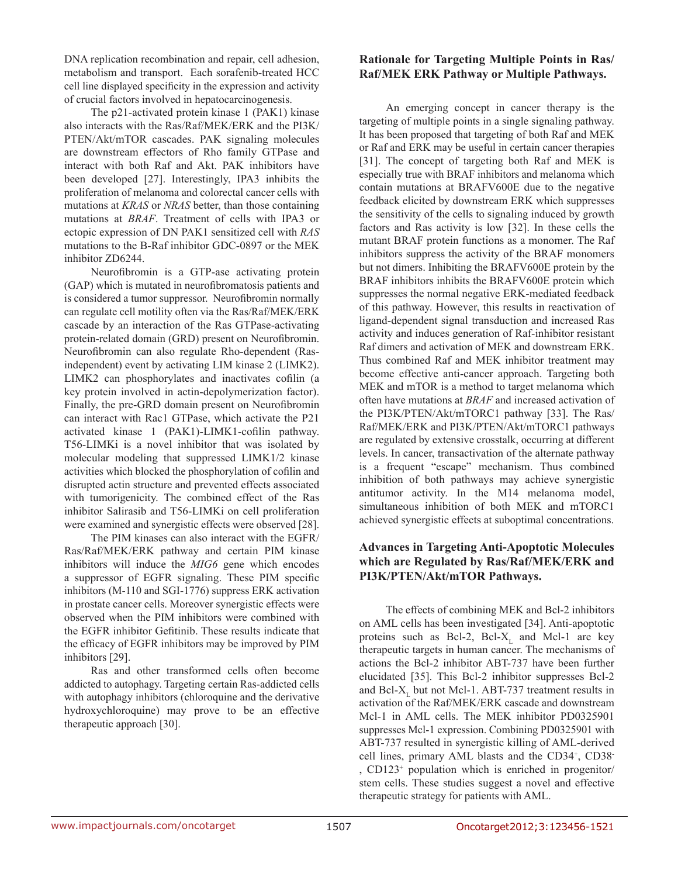DNA replication recombination and repair, cell adhesion, metabolism and transport. Each sorafenib-treated HCC cell line displayed specificity in the expression and activity of crucial factors involved in hepatocarcinogenesis.

The p21-activated protein kinase 1 (PAK1) kinase also interacts with the Ras/Raf/MEK/ERK and the PI3K/ PTEN/Akt/mTOR cascades. PAK signaling molecules are downstream effectors of Rho family GTPase and interact with both Raf and Akt. PAK inhibitors have been developed [27]. Interestingly, IPA3 inhibits the proliferation of melanoma and colorectal cancer cells with mutations at *KRAS* or *NRAS* better, than those containing mutations at *BRAF*. Treatment of cells with IPA3 or ectopic expression of DN PAK1 sensitized cell with *RAS* mutations to the B-Raf inhibitor GDC-0897 or the MEK inhibitor ZD6244.

Neurofibromin is a GTP-ase activating protein (GAP) which is mutated in neurofibromatosis patients and is considered a tumor suppressor. Neurofibromin normally can regulate cell motility often via the Ras/Raf/MEK/ERK cascade by an interaction of the Ras GTPase-activating protein-related domain (GRD) present on Neurofibromin. Neurofibromin can also regulate Rho-dependent (Rasindependent) event by activating LIM kinase 2 (LIMK2). LIMK2 can phosphorylates and inactivates cofilin (a key protein involved in actin-depolymerization factor). Finally, the pre-GRD domain present on Neurofibromin can interact with Rac1 GTPase, which activate the P21 activated kinase 1 (PAK1)-LIMK1-cofilin pathway. T56-LIMKi is a novel inhibitor that was isolated by molecular modeling that suppressed LIMK1/2 kinase activities which blocked the phosphorylation of cofilin and disrupted actin structure and prevented effects associated with tumorigenicity. The combined effect of the Ras inhibitor Salirasib and T56-LIMKi on cell proliferation were examined and synergistic effects were observed [28].

The PIM kinases can also interact with the EGFR/ Ras/Raf/MEK/ERK pathway and certain PIM kinase inhibitors will induce the *MIG6* gene which encodes a suppressor of EGFR signaling. These PIM specific inhibitors (M-110 and SGI-1776) suppress ERK activation in prostate cancer cells. Moreover synergistic effects were observed when the PIM inhibitors were combined with the EGFR inhibitor Gefitinib. These results indicate that the efficacy of EGFR inhibitors may be improved by PIM inhibitors [29].

Ras and other transformed cells often become addicted to autophagy. Targeting certain Ras-addicted cells with autophagy inhibitors (chloroquine and the derivative hydroxychloroquine) may prove to be an effective therapeutic approach [30].

# **Rationale for Targeting Multiple Points in Ras/ Raf/MEK ERK Pathway or Multiple Pathways.**

An emerging concept in cancer therapy is the targeting of multiple points in a single signaling pathway. It has been proposed that targeting of both Raf and MEK or Raf and ERK may be useful in certain cancer therapies [31]. The concept of targeting both Raf and MEK is especially true with BRAF inhibitors and melanoma which contain mutations at BRAFV600E due to the negative feedback elicited by downstream ERK which suppresses the sensitivity of the cells to signaling induced by growth factors and Ras activity is low [32]. In these cells the mutant BRAF protein functions as a monomer. The Raf inhibitors suppress the activity of the BRAF monomers but not dimers. Inhibiting the BRAFV600E protein by the BRAF inhibitors inhibits the BRAFV600E protein which suppresses the normal negative ERK-mediated feedback of this pathway. However, this results in reactivation of ligand-dependent signal transduction and increased Ras activity and induces generation of Raf-inhibitor resistant Raf dimers and activation of MEK and downstream ERK. Thus combined Raf and MEK inhibitor treatment may become effective anti-cancer approach. Targeting both MEK and mTOR is a method to target melanoma which often have mutations at *BRAF* and increased activation of the PI3K/PTEN/Akt/mTORC1 pathway [33]. The Ras/ Raf/MEK/ERK and PI3K/PTEN/Akt/mTORC1 pathways are regulated by extensive crosstalk, occurring at different levels. In cancer, transactivation of the alternate pathway is a frequent "escape" mechanism. Thus combined inhibition of both pathways may achieve synergistic antitumor activity. In the M14 melanoma model, simultaneous inhibition of both MEK and mTORC1 achieved synergistic effects at suboptimal concentrations.

# **Advances in Targeting Anti-Apoptotic Molecules which are Regulated by Ras/Raf/MEK/ERK and PI3K/PTEN/Akt/mTOR Pathways.**

The effects of combining MEK and Bcl-2 inhibitors on AML cells has been investigated [34]. Anti-apoptotic proteins such as Bcl-2, Bcl-X<sub>L</sub> and Mcl-1 are key therapeutic targets in human cancer. The mechanisms of actions the Bcl-2 inhibitor ABT-737 have been further elucidated [35]. This Bcl-2 inhibitor suppresses Bcl-2 and Bcl-X<sub>1</sub> but not Mcl-1. ABT-737 treatment results in activation of the Raf/MEK/ERK cascade and downstream Mcl-1 in AML cells. The MEK inhibitor PD0325901 suppresses Mcl-1 expression. Combining PD0325901 with ABT-737 resulted in synergistic killing of AML-derived cell lines, primary AML blasts and the CD34<sup>+</sup>, CD38<sup>-</sup> , CD123+ population which is enriched in progenitor/ stem cells. These studies suggest a novel and effective therapeutic strategy for patients with AML.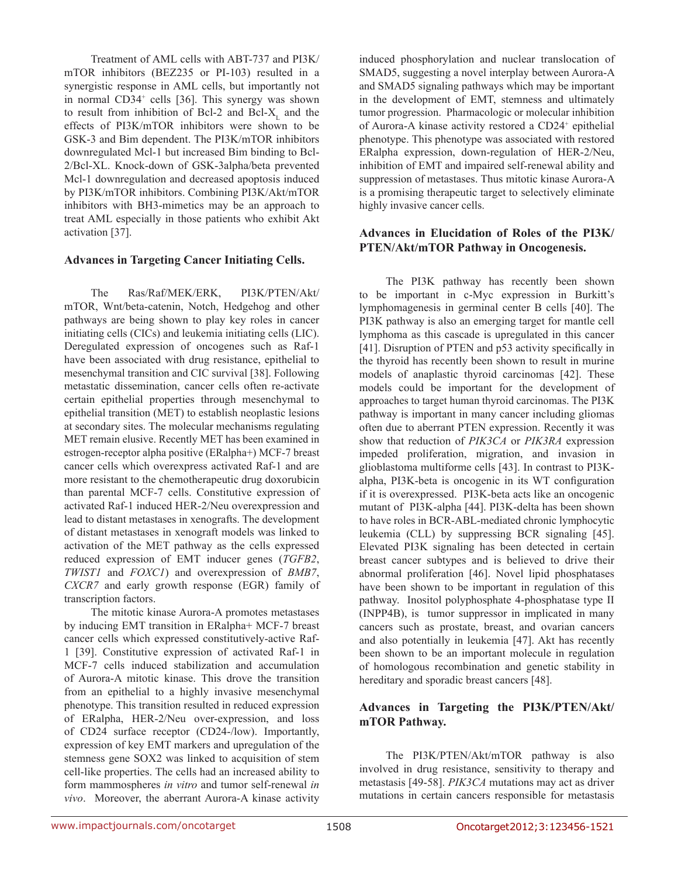Treatment of AML cells with ABT-737 and PI3K/ mTOR inhibitors (BEZ235 or PI-103) resulted in a synergistic response in AML cells, but importantly not in normal CD34<sup>+</sup> cells [36]. This synergy was shown to result from inhibition of Bcl-2 and Bcl- $X<sub>r</sub>$  and the effects of PI3K/mTOR inhibitors were shown to be GSK-3 and Bim dependent. The PI3K/mTOR inhibitors downregulated Mcl-1 but increased Bim binding to Bcl-2/Bcl-XL. Knock-down of GSK-3alpha/beta prevented Mcl-1 downregulation and decreased apoptosis induced by PI3K/mTOR inhibitors. Combining PI3K/Akt/mTOR inhibitors with BH3-mimetics may be an approach to treat AML especially in those patients who exhibit Akt activation [37].

#### **Advances in Targeting Cancer Initiating Cells.**

The Ras/Raf/MEK/ERK, PI3K/PTEN/Akt/ mTOR, Wnt/beta-catenin, Notch, Hedgehog and other pathways are being shown to play key roles in cancer initiating cells (CICs) and leukemia initiating cells (LIC). Deregulated expression of oncogenes such as Raf-1 have been associated with drug resistance, epithelial to mesenchymal transition and CIC survival [38]. Following metastatic dissemination, cancer cells often re-activate certain epithelial properties through mesenchymal to epithelial transition (MET) to establish neoplastic lesions at secondary sites. The molecular mechanisms regulating MET remain elusive. Recently MET has been examined in estrogen-receptor alpha positive (ERalpha+) MCF-7 breast cancer cells which overexpress activated Raf-1 and are more resistant to the chemotherapeutic drug doxorubicin than parental MCF-7 cells. Constitutive expression of activated Raf-1 induced HER-2/Neu overexpression and lead to distant metastases in xenografts. The development of distant metastases in xenograft models was linked to activation of the MET pathway as the cells expressed reduced expression of EMT inducer genes (*TGFB2*, *TWIST1* and *FOXC1*) and overexpression of *BMB7*, *CXCR7* and early growth response (EGR) family of transcription factors.

The mitotic kinase Aurora-A promotes metastases by inducing EMT transition in ERalpha+ MCF-7 breast cancer cells which expressed constitutively-active Raf-1 [39]. Constitutive expression of activated Raf-1 in MCF-7 cells induced stabilization and accumulation of Aurora-A mitotic kinase. This drove the transition from an epithelial to a highly invasive mesenchymal phenotype. This transition resulted in reduced expression of ERalpha, HER-2/Neu over-expression, and loss of CD24 surface receptor (CD24-/low). Importantly, expression of key EMT markers and upregulation of the stemness gene SOX2 was linked to acquisition of stem cell-like properties. The cells had an increased ability to form mammospheres *in vitro* and tumor self-renewal *in vivo*. Moreover, the aberrant Aurora-A kinase activity

induced phosphorylation and nuclear translocation of SMAD5, suggesting a novel interplay between Aurora-A and SMAD5 signaling pathways which may be important in the development of EMT, stemness and ultimately tumor progression. Pharmacologic or molecular inhibition of Aurora-A kinase activity restored a CD24<sup>+</sup> epithelial phenotype. This phenotype was associated with restored ERalpha expression, down-regulation of HER-2/Neu, inhibition of EMT and impaired self-renewal ability and suppression of metastases. Thus mitotic kinase Aurora-A is a promising therapeutic target to selectively eliminate highly invasive cancer cells.

#### **Advances in Elucidation of Roles of the PI3K/ PTEN/Akt/mTOR Pathway in Oncogenesis.**

The PI3K pathway has recently been shown to be important in c-Myc expression in Burkitt's lymphomagenesis in germinal center B cells [40]. The PI3K pathway is also an emerging target for mantle cell lymphoma as this cascade is upregulated in this cancer [41]. Disruption of PTEN and p53 activity specifically in the thyroid has recently been shown to result in murine models of anaplastic thyroid carcinomas [42]. These models could be important for the development of approaches to target human thyroid carcinomas. The PI3K pathway is important in many cancer including gliomas often due to aberrant PTEN expression. Recently it was show that reduction of *PIK3CA* or *PIK3RA* expression impeded proliferation, migration, and invasion in glioblastoma multiforme cells [43]. In contrast to PI3Kalpha, PI3K-beta is oncogenic in its WT configuration if it is overexpressed. PI3K-beta acts like an oncogenic mutant of PI3K-alpha [44]. PI3K-delta has been shown to have roles in BCR-ABL-mediated chronic lymphocytic leukemia (CLL) by suppressing BCR signaling [45]. Elevated PI3K signaling has been detected in certain breast cancer subtypes and is believed to drive their abnormal proliferation [46]. Novel lipid phosphatases have been shown to be important in regulation of this pathway. Inositol polyphosphate 4-phosphatase type II (INPP4B), is tumor suppressor in implicated in many cancers such as prostate, breast, and ovarian cancers and also potentially in leukemia [47]. Akt has recently been shown to be an important molecule in regulation of homologous recombination and genetic stability in hereditary and sporadic breast cancers [48].

#### **Advances in Targeting the PI3K/PTEN/Akt/ mTOR Pathway.**

The PI3K/PTEN/Akt/mTOR pathway is also involved in drug resistance, sensitivity to therapy and metastasis [49-58]. *PIK3CA* mutations may act as driver mutations in certain cancers responsible for metastasis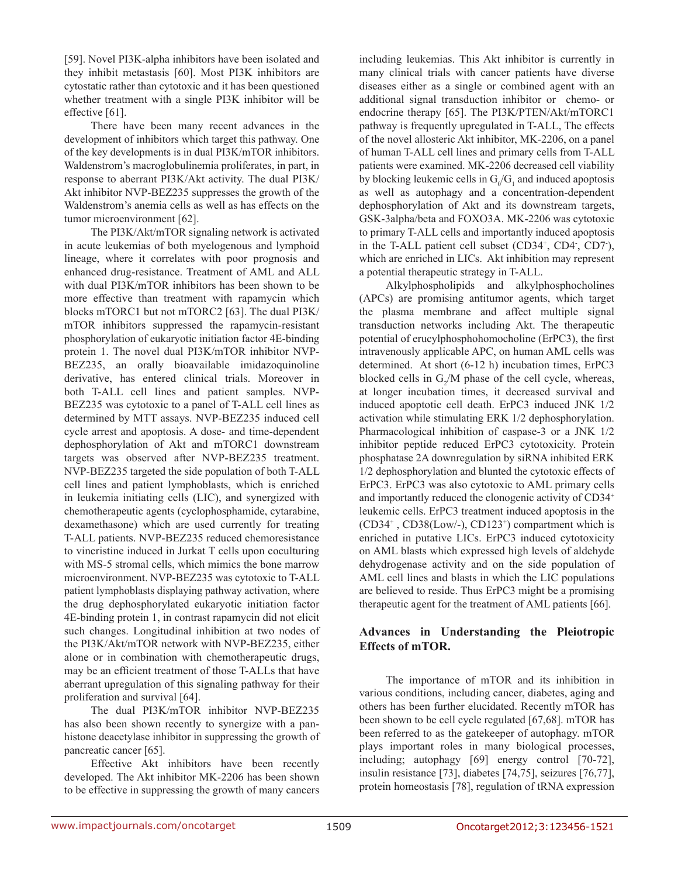[59]. Novel PI3K-alpha inhibitors have been isolated and they inhibit metastasis [60]. Most PI3K inhibitors are cytostatic rather than cytotoxic and it has been questioned whether treatment with a single PI3K inhibitor will be effective [61].

There have been many recent advances in the development of inhibitors which target this pathway. One of the key developments is in dual PI3K/mTOR inhibitors. Waldenstrom's macroglobulinemia proliferates, in part, in response to aberrant PI3K/Akt activity. The dual PI3K/ Akt inhibitor NVP-BEZ235 suppresses the growth of the Waldenstrom's anemia cells as well as has effects on the tumor microenvironment [62].

The PI3K/Akt/mTOR signaling network is activated in acute leukemias of both myelogenous and lymphoid lineage, where it correlates with poor prognosis and enhanced drug-resistance. Treatment of AML and ALL with dual PI3K/mTOR inhibitors has been shown to be more effective than treatment with rapamycin which blocks mTORC1 but not mTORC2 [63]. The dual PI3K/ mTOR inhibitors suppressed the rapamycin-resistant phosphorylation of eukaryotic initiation factor 4E-binding protein 1. The novel dual PI3K/mTOR inhibitor NVP-BEZ235, an orally bioavailable imidazoquinoline derivative, has entered clinical trials. Moreover in both T-ALL cell lines and patient samples. NVP-BEZ235 was cytotoxic to a panel of T-ALL cell lines as determined by MTT assays. NVP-BEZ235 induced cell cycle arrest and apoptosis. A dose- and time-dependent dephosphorylation of Akt and mTORC1 downstream targets was observed after NVP-BEZ235 treatment. NVP-BEZ235 targeted the side population of both T-ALL cell lines and patient lymphoblasts, which is enriched in leukemia initiating cells (LIC), and synergized with chemotherapeutic agents (cyclophosphamide, cytarabine, dexamethasone) which are used currently for treating T-ALL patients. NVP-BEZ235 reduced chemoresistance to vincristine induced in Jurkat T cells upon coculturing with MS-5 stromal cells, which mimics the bone marrow microenvironment. NVP-BEZ235 was cytotoxic to T-ALL patient lymphoblasts displaying pathway activation, where the drug dephosphorylated eukaryotic initiation factor 4E-binding protein 1, in contrast rapamycin did not elicit such changes. Longitudinal inhibition at two nodes of the PI3K/Akt/mTOR network with NVP-BEZ235, either alone or in combination with chemotherapeutic drugs, may be an efficient treatment of those T-ALLs that have aberrant upregulation of this signaling pathway for their proliferation and survival [64].

The dual PI3K/mTOR inhibitor NVP-BEZ235 has also been shown recently to synergize with a panhistone deacetylase inhibitor in suppressing the growth of pancreatic cancer [65].

Effective Akt inhibitors have been recently developed. The Akt inhibitor MK-2206 has been shown to be effective in suppressing the growth of many cancers including leukemias. This Akt inhibitor is currently in many clinical trials with cancer patients have diverse diseases either as a single or combined agent with an additional signal transduction inhibitor or chemo- or endocrine therapy [65]. The PI3K/PTEN/Akt/mTORC1 pathway is frequently upregulated in T-ALL, The effects of the novel allosteric Akt inhibitor, MK-2206, on a panel of human T-ALL cell lines and primary cells from T-ALL patients were examined. MK-2206 decreased cell viability by blocking leukemic cells in  $G_0/G_1$  and induced apoptosis as well as autophagy and a concentration-dependent dephosphorylation of Akt and its downstream targets, GSK-3alpha/beta and FOXO3A. MK-2206 was cytotoxic to primary T-ALL cells and importantly induced apoptosis in the T-ALL patient cell subset (CD34<sup>+</sup>, CD4<sup>-</sup>, CD7<sup>-</sup>), which are enriched in LICs. Akt inhibition may represent a potential therapeutic strategy in T-ALL.

Alkylphospholipids and alkylphosphocholines (APCs) are promising antitumor agents, which target the plasma membrane and affect multiple signal transduction networks including Akt. The therapeutic potential of erucylphosphohomocholine (ErPC3), the first intravenously applicable APC, on human AML cells was determined. At short (6-12 h) incubation times, ErPC3 blocked cells in  $G_2/M$  phase of the cell cycle, whereas, at longer incubation times, it decreased survival and induced apoptotic cell death. ErPC3 induced JNK 1/2 activation while stimulating ERK 1/2 dephosphorylation. Pharmacological inhibition of caspase-3 or a JNK 1/2 inhibitor peptide reduced ErPC3 cytotoxicity. Protein phosphatase 2A downregulation by siRNA inhibited ERK 1/2 dephosphorylation and blunted the cytotoxic effects of ErPC3. ErPC3 was also cytotoxic to AML primary cells and importantly reduced the clonogenic activity of CD34+ leukemic cells. ErPC3 treatment induced apoptosis in the  $(CD34^+$ ,  $CD38(Low/-)$ ,  $CD123^+$ ) compartment which is enriched in putative LICs. ErPC3 induced cytotoxicity on AML blasts which expressed high levels of aldehyde dehydrogenase activity and on the side population of AML cell lines and blasts in which the LIC populations are believed to reside. Thus ErPC3 might be a promising therapeutic agent for the treatment of AML patients [66].

## **Advances in Understanding the Pleiotropic Effects of mTOR.**

The importance of mTOR and its inhibition in various conditions, including cancer, diabetes, aging and others has been further elucidated. Recently mTOR has been shown to be cell cycle regulated [67,68]. mTOR has been referred to as the gatekeeper of autophagy. mTOR plays important roles in many biological processes, including; autophagy [69] energy control [70-72], insulin resistance [73], diabetes [74,75], seizures [76,77], protein homeostasis [78], regulation of tRNA expression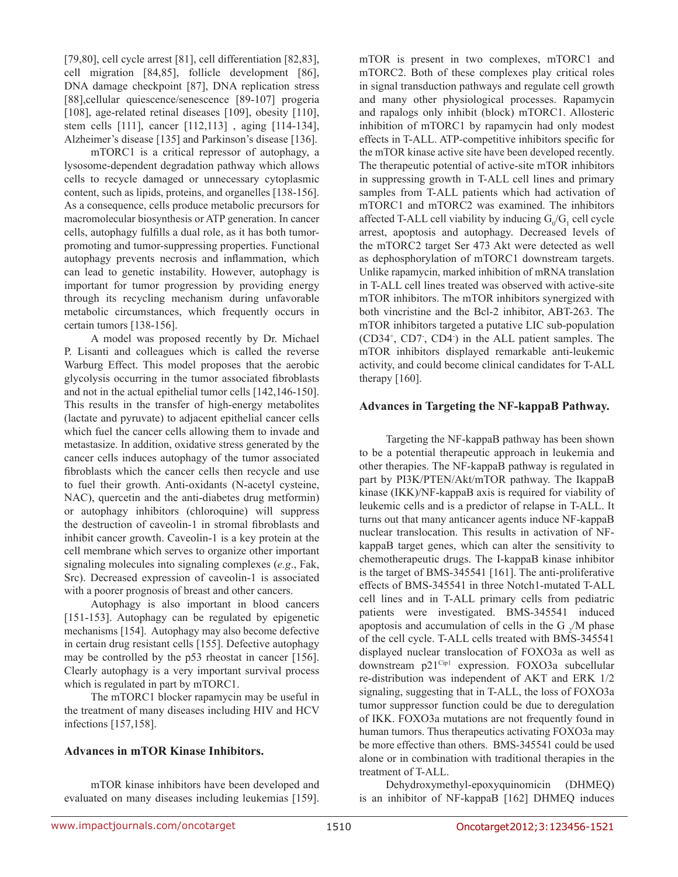[79,80], cell cycle arrest [81], cell differentiation [82,83], cell migration [84,85], follicle development [86], DNA damage checkpoint [87], DNA replication stress [88],cellular quiescence/senescence [89-107] progeria [108], age-related retinal diseases [109], obesity [110], stem cells [111], cancer [112,113] , aging [114-134], Alzheimer's disease [135] and Parkinson's disease [136].

mTORC1 is a critical repressor of autophagy, a lysosome-dependent degradation pathway which allows cells to recycle damaged or unnecessary cytoplasmic content, such as lipids, proteins, and organelles [138-156]. As a consequence, cells produce metabolic precursors for macromolecular biosynthesis or ATP generation. In cancer cells, autophagy fulfills a dual role, as it has both tumorpromoting and tumor-suppressing properties. Functional autophagy prevents necrosis and inflammation, which can lead to genetic instability. However, autophagy is important for tumor progression by providing energy through its recycling mechanism during unfavorable metabolic circumstances, which frequently occurs in certain tumors [138-156].

A model was proposed recently by Dr. Michael P. Lisanti and colleagues which is called the reverse Warburg Effect. This model proposes that the aerobic glycolysis occurring in the tumor associated fibroblasts and not in the actual epithelial tumor cells [142,146-150]. This results in the transfer of high-energy metabolites (lactate and pyruvate) to adjacent epithelial cancer cells which fuel the cancer cells allowing them to invade and metastasize. In addition, oxidative stress generated by the cancer cells induces autophagy of the tumor associated fibroblasts which the cancer cells then recycle and use to fuel their growth. Anti-oxidants (N-acetyl cysteine, NAC), quercetin and the anti-diabetes drug metformin) or autophagy inhibitors (chloroquine) will suppress the destruction of caveolin-1 in stromal fibroblasts and inhibit cancer growth. Caveolin-1 is a key protein at the cell membrane which serves to organize other important signaling molecules into signaling complexes (*e.g*., Fak, Src). Decreased expression of caveolin-1 is associated with a poorer prognosis of breast and other cancers.

Autophagy is also important in blood cancers [151-153]. Autophagy can be regulated by epigenetic mechanisms [154]. Autophagy may also become defective in certain drug resistant cells [155]. Defective autophagy may be controlled by the p53 rheostat in cancer [156]. Clearly autophagy is a very important survival process which is regulated in part by mTORC1.

The mTORC1 blocker rapamycin may be useful in the treatment of many diseases including HIV and HCV infections [157,158].

#### **Advances in mTOR Kinase Inhibitors.**

mTOR kinase inhibitors have been developed and evaluated on many diseases including leukemias [159]. mTOR is present in two complexes, mTORC1 and mTORC2. Both of these complexes play critical roles in signal transduction pathways and regulate cell growth and many other physiological processes. Rapamycin and rapalogs only inhibit (block) mTORC1. Allosteric inhibition of mTORC1 by rapamycin had only modest effects in T-ALL. ATP-competitive inhibitors specific for the mTOR kinase active site have been developed recently. The therapeutic potential of active-site mTOR inhibitors in suppressing growth in T-ALL cell lines and primary samples from T-ALL patients which had activation of mTORC1 and mTORC2 was examined. The inhibitors affected T-ALL cell viability by inducing  $G_0/G_1$  cell cycle arrest, apoptosis and autophagy. Decreased levels of the mTORC2 target Ser 473 Akt were detected as well as dephosphorylation of mTORC1 downstream targets. Unlike rapamycin, marked inhibition of mRNA translation in T-ALL cell lines treated was observed with active-site mTOR inhibitors. The mTOR inhibitors synergized with both vincristine and the Bcl-2 inhibitor, ABT-263. The mTOR inhibitors targeted a putative LIC sub-population (CD34+ , CD7- , CD4- ) in the ALL patient samples. The mTOR inhibitors displayed remarkable anti-leukemic activity, and could become clinical candidates for T-ALL therapy [160].

#### **Advances in Targeting the NF-kappaB Pathway.**

Targeting the NF-kappaB pathway has been shown to be a potential therapeutic approach in leukemia and other therapies. The NF-kappaB pathway is regulated in part by PI3K/PTEN/Akt/mTOR pathway. The IkappaB kinase (IKK)/NF-kappaB axis is required for viability of leukemic cells and is a predictor of relapse in T-ALL. It turns out that many anticancer agents induce NF-kappaB nuclear translocation. This results in activation of NFkappaB target genes, which can alter the sensitivity to chemotherapeutic drugs. The I-kappaB kinase inhibitor is the target of BMS-345541 [161]. The anti-proliferative effects of BMS-345541 in three Notch1-mutated T-ALL cell lines and in T-ALL primary cells from pediatric patients were investigated. BMS-345541 induced apoptosis and accumulation of cells in the G  $_2$ /M phase of the cell cycle. T-ALL cells treated with BMS-345541 displayed nuclear translocation of FOXO3a as well as downstream p21<sup>Cip1</sup> expression. FOXO3a subcellular re-distribution was independent of AKT and ERK 1/2 signaling, suggesting that in T-ALL, the loss of FOXO3a tumor suppressor function could be due to deregulation of IKK. FOXO3a mutations are not frequently found in human tumors. Thus therapeutics activating FOXO3a may be more effective than others. BMS-345541 could be used alone or in combination with traditional therapies in the treatment of T-ALL.

Dehydroxymethyl-epoxyquinomicin (DHMEQ) is an inhibitor of NF-kappaB [162] DHMEQ induces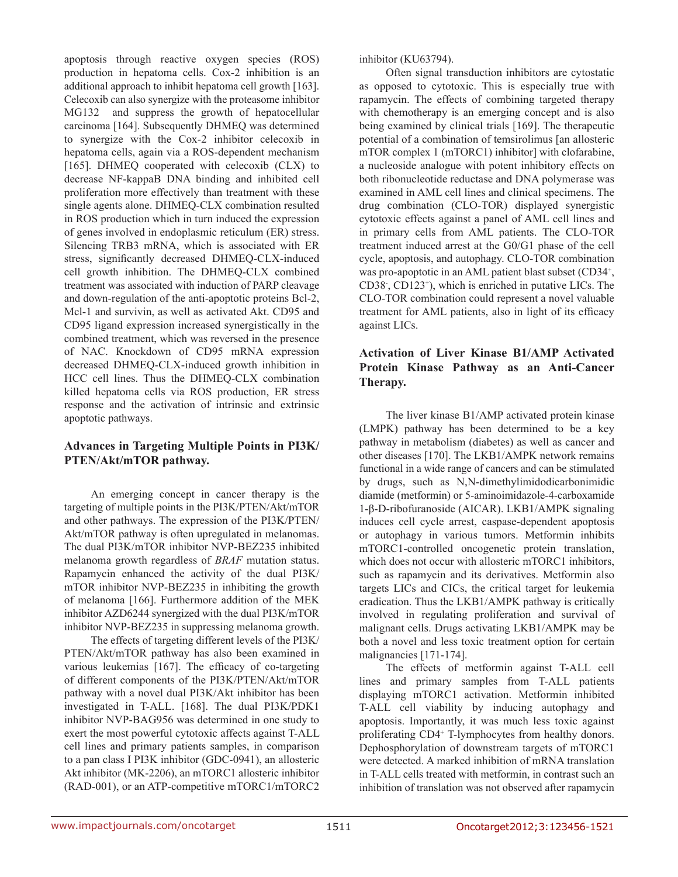apoptosis through reactive oxygen species (ROS) production in hepatoma cells. Cox-2 inhibition is an additional approach to inhibit hepatoma cell growth [163]. Celecoxib can also synergize with the proteasome inhibitor MG132 and suppress the growth of hepatocellular carcinoma [164]. Subsequently DHMEQ was determined to synergize with the Cox-2 inhibitor celecoxib in hepatoma cells, again via a ROS-dependent mechanism [165]. DHMEQ cooperated with celecoxib (CLX) to decrease NF-kappaB DNA binding and inhibited cell proliferation more effectively than treatment with these single agents alone. DHMEQ-CLX combination resulted in ROS production which in turn induced the expression of genes involved in endoplasmic reticulum (ER) stress. Silencing TRB3 mRNA, which is associated with ER stress, significantly decreased DHMEQ-CLX-induced cell growth inhibition. The DHMEQ-CLX combined treatment was associated with induction of PARP cleavage and down-regulation of the anti-apoptotic proteins Bcl-2, Mcl-1 and survivin, as well as activated Akt. CD95 and CD95 ligand expression increased synergistically in the combined treatment, which was reversed in the presence of NAC. Knockdown of CD95 mRNA expression decreased DHMEQ-CLX-induced growth inhibition in HCC cell lines. Thus the DHMEQ-CLX combination killed hepatoma cells via ROS production, ER stress response and the activation of intrinsic and extrinsic apoptotic pathways.

## **Advances in Targeting Multiple Points in PI3K/ PTEN/Akt/mTOR pathway.**

An emerging concept in cancer therapy is the targeting of multiple points in the PI3K/PTEN/Akt/mTOR and other pathways. The expression of the PI3K/PTEN/ Akt/mTOR pathway is often upregulated in melanomas. The dual PI3K/mTOR inhibitor NVP-BEZ235 inhibited melanoma growth regardless of *BRAF* mutation status. Rapamycin enhanced the activity of the dual PI3K/ mTOR inhibitor NVP-BEZ235 in inhibiting the growth of melanoma [166]. Furthermore addition of the MEK inhibitor AZD6244 synergized with the dual PI3K/mTOR inhibitor NVP-BEZ235 in suppressing melanoma growth.

The effects of targeting different levels of the PI3K/ PTEN/Akt/mTOR pathway has also been examined in various leukemias [167]. The efficacy of co-targeting of different components of the PI3K/PTEN/Akt/mTOR pathway with a novel dual PI3K/Akt inhibitor has been investigated in T-ALL. [168]. The dual PI3K/PDK1 inhibitor NVP-BAG956 was determined in one study to exert the most powerful cytotoxic affects against T-ALL cell lines and primary patients samples, in comparison to a pan class I PI3K inhibitor (GDC-0941), an allosteric Akt inhibitor (MK-2206), an mTORC1 allosteric inhibitor (RAD-001), or an ATP-competitive mTORC1/mTORC2

inhibitor (KU63794).

Often signal transduction inhibitors are cytostatic as opposed to cytotoxic. This is especially true with rapamycin. The effects of combining targeted therapy with chemotherapy is an emerging concept and is also being examined by clinical trials [169]. The therapeutic potential of a combination of temsirolimus [an allosteric mTOR complex 1 (mTORC1) inhibitor] with clofarabine, a nucleoside analogue with potent inhibitory effects on both ribonucleotide reductase and DNA polymerase was examined in AML cell lines and clinical specimens. The drug combination (CLO-TOR) displayed synergistic cytotoxic effects against a panel of AML cell lines and in primary cells from AML patients. The CLO-TOR treatment induced arrest at the G0/G1 phase of the cell cycle, apoptosis, and autophagy. CLO-TOR combination was pro-apoptotic in an AML patient blast subset (CD34<sup>+</sup>, CD38- , CD123+ ), which is enriched in putative LICs. The CLO-TOR combination could represent a novel valuable treatment for AML patients, also in light of its efficacy against LICs.

# **Activation of Liver Kinase B1/AMP Activated Protein Kinase Pathway as an Anti-Cancer Therapy.**

The liver kinase B1/AMP activated protein kinase (LMPK) pathway has been determined to be a key pathway in metabolism (diabetes) as well as cancer and other diseases [170]. The LKB1/AMPK network remains functional in a wide range of cancers and can be stimulated by drugs, such as N,N-dimethylimidodicarbonimidic diamide (metformin) or 5-aminoimidazole-4-carboxamide 1-β-D-ribofuranoside (AICAR). LKB1/AMPK signaling induces cell cycle arrest, caspase-dependent apoptosis or autophagy in various tumors. Metformin inhibits mTORC1-controlled oncogenetic protein translation, which does not occur with allosteric mTORC1 inhibitors, such as rapamycin and its derivatives. Metformin also targets LICs and CICs, the critical target for leukemia eradication. Thus the LKB1/AMPK pathway is critically involved in regulating proliferation and survival of malignant cells. Drugs activating LKB1/AMPK may be both a novel and less toxic treatment option for certain malignancies [171-174].

The effects of metformin against T-ALL cell lines and primary samples from T-ALL patients displaying mTORC1 activation. Metformin inhibited T-ALL cell viability by inducing autophagy and apoptosis. Importantly, it was much less toxic against proliferating CD4+ T-lymphocytes from healthy donors. Dephosphorylation of downstream targets of mTORC1 were detected. A marked inhibition of mRNA translation in T-ALL cells treated with metformin, in contrast such an inhibition of translation was not observed after rapamycin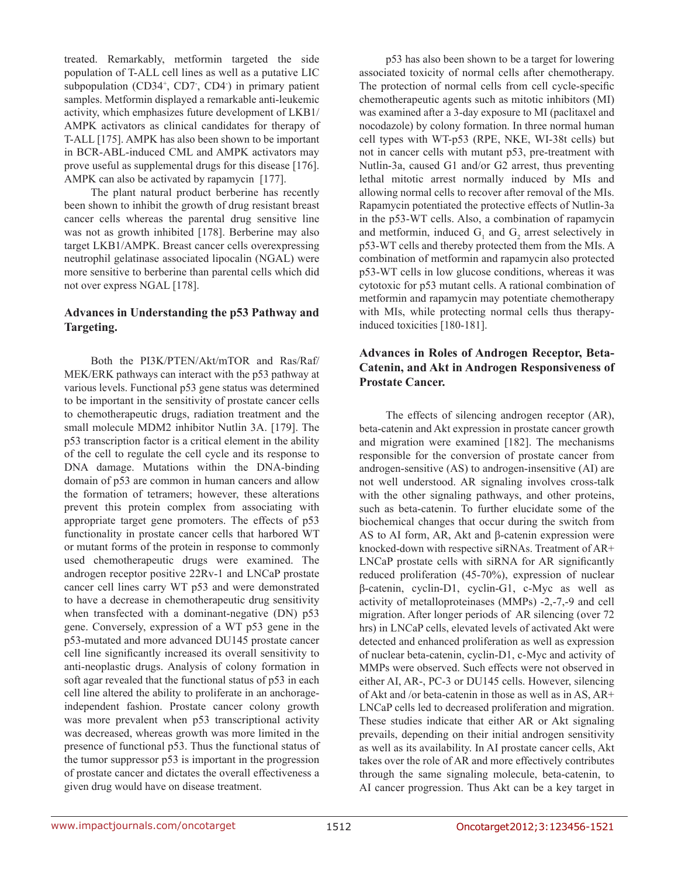treated. Remarkably, metformin targeted the side population of T-ALL cell lines as well as a putative LIC subpopulation (CD34<sup>+</sup>, CD7<sup>-</sup>, CD4<sup>-</sup>) in primary patient samples. Metformin displayed a remarkable anti-leukemic activity, which emphasizes future development of LKB1/ AMPK activators as clinical candidates for therapy of T-ALL [175]. AMPK has also been shown to be important in BCR-ABL-induced CML and AMPK activators may prove useful as supplemental drugs for this disease [176]. AMPK can also be activated by rapamycin [177].

The plant natural product berberine has recently been shown to inhibit the growth of drug resistant breast cancer cells whereas the parental drug sensitive line was not as growth inhibited [178]. Berberine may also target LKB1/AMPK. Breast cancer cells overexpressing neutrophil gelatinase associated lipocalin (NGAL) were more sensitive to berberine than parental cells which did not over express NGAL [178].

## **Advances in Understanding the p53 Pathway and Targeting.**

Both the PI3K/PTEN/Akt/mTOR and Ras/Raf/ MEK/ERK pathways can interact with the p53 pathway at various levels. Functional p53 gene status was determined to be important in the sensitivity of prostate cancer cells to chemotherapeutic drugs, radiation treatment and the small molecule MDM2 inhibitor Nutlin 3A. [179]. The p53 transcription factor is a critical element in the ability of the cell to regulate the cell cycle and its response to DNA damage. Mutations within the DNA-binding domain of p53 are common in human cancers and allow the formation of tetramers; however, these alterations prevent this protein complex from associating with appropriate target gene promoters. The effects of p53 functionality in prostate cancer cells that harbored WT or mutant forms of the protein in response to commonly used chemotherapeutic drugs were examined. The androgen receptor positive 22Rv-1 and LNCaP prostate cancer cell lines carry WT p53 and were demonstrated to have a decrease in chemotherapeutic drug sensitivity when transfected with a dominant-negative (DN) p53 gene. Conversely, expression of a WT p53 gene in the p53-mutated and more advanced DU145 prostate cancer cell line significantly increased its overall sensitivity to anti-neoplastic drugs. Analysis of colony formation in soft agar revealed that the functional status of p53 in each cell line altered the ability to proliferate in an anchorageindependent fashion. Prostate cancer colony growth was more prevalent when p53 transcriptional activity was decreased, whereas growth was more limited in the presence of functional p53. Thus the functional status of the tumor suppressor p53 is important in the progression of prostate cancer and dictates the overall effectiveness a given drug would have on disease treatment.

p53 has also been shown to be a target for lowering associated toxicity of normal cells after chemotherapy. The protection of normal cells from cell cycle-specific chemotherapeutic agents such as mitotic inhibitors (MI) was examined after a 3-day exposure to MI (paclitaxel and nocodazole) by colony formation. In three normal human cell types with WT-p53 (RPE, NKE, WI-38t cells) but not in cancer cells with mutant p53, pre-treatment with Nutlin-3a, caused G1 and/or G2 arrest, thus preventing lethal mitotic arrest normally induced by MIs and allowing normal cells to recover after removal of the MIs. Rapamycin potentiated the protective effects of Nutlin-3a in the p53-WT cells. Also, a combination of rapamycin and metformin, induced  $G_1$  and  $G_2$  arrest selectively in p53-WT cells and thereby protected them from the MIs. A combination of metformin and rapamycin also protected p53-WT cells in low glucose conditions, whereas it was cytotoxic for p53 mutant cells. A rational combination of metformin and rapamycin may potentiate chemotherapy with MIs, while protecting normal cells thus therapyinduced toxicities [180-181].

## **Advances in Roles of Androgen Receptor, Beta-Catenin, and Akt in Androgen Responsiveness of Prostate Cancer.**

The effects of silencing androgen receptor (AR), beta-catenin and Akt expression in prostate cancer growth and migration were examined [182]. The mechanisms responsible for the conversion of prostate cancer from androgen-sensitive (AS) to androgen-insensitive (AI) are not well understood. AR signaling involves cross-talk with the other signaling pathways, and other proteins, such as beta-catenin. To further elucidate some of the biochemical changes that occur during the switch from AS to AI form, AR, Akt and  $β$ -catenin expression were knocked-down with respective siRNAs. Treatment of AR+ LNCaP prostate cells with siRNA for AR significantly reduced proliferation (45-70%), expression of nuclear β-catenin, cyclin-D1, cyclin-G1, c-Myc as well as activity of metalloproteinases (MMPs) -2,-7,-9 and cell migration. After longer periods of AR silencing (over 72 hrs) in LNCaP cells, elevated levels of activated Akt were detected and enhanced proliferation as well as expression of nuclear beta-catenin, cyclin-D1, c-Myc and activity of MMPs were observed. Such effects were not observed in either AI, AR-, PC-3 or DU145 cells. However, silencing of Akt and /or beta-catenin in those as well as in AS, AR+ LNCaP cells led to decreased proliferation and migration. These studies indicate that either AR or Akt signaling prevails, depending on their initial androgen sensitivity as well as its availability. In AI prostate cancer cells, Akt takes over the role of AR and more effectively contributes through the same signaling molecule, beta-catenin, to AI cancer progression. Thus Akt can be a key target in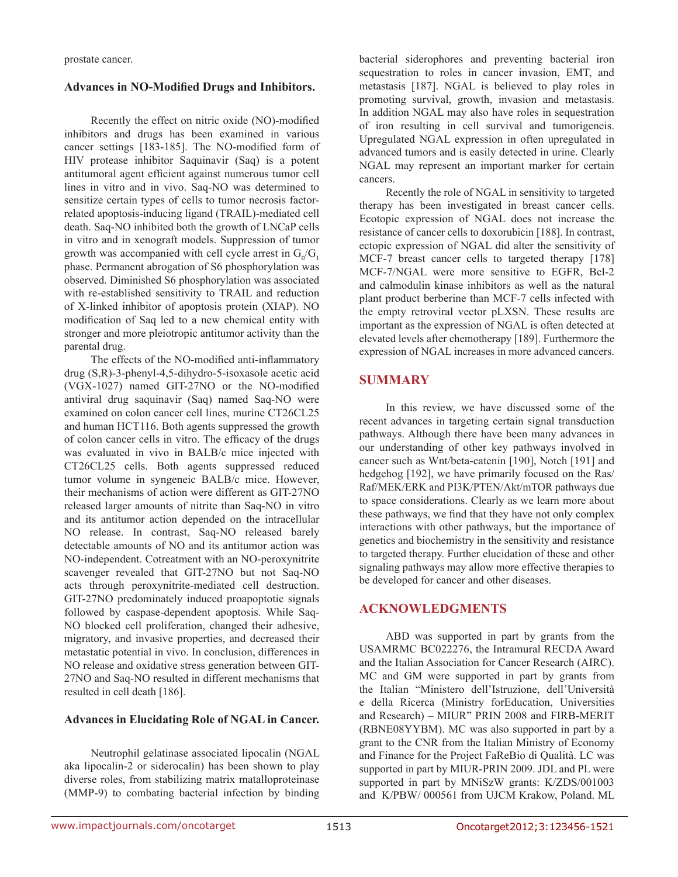prostate cancer.

#### **Advances in NO-Modified Drugs and Inhibitors.**

Recently the effect on nitric oxide (NO)-modified inhibitors and drugs has been examined in various cancer settings [183-185]. The NO-modified form of HIV protease inhibitor Saquinavir (Saq) is a potent antitumoral agent efficient against numerous tumor cell lines in vitro and in vivo. Saq-NO was determined to sensitize certain types of cells to tumor necrosis factorrelated apoptosis-inducing ligand (TRAIL)-mediated cell death. Saq-NO inhibited both the growth of LNCaP cells in vitro and in xenograft models. Suppression of tumor growth was accompanied with cell cycle arrest in  $G_0/G_1$ phase. Permanent abrogation of S6 phosphorylation was observed. Diminished S6 phosphorylation was associated with re-established sensitivity to TRAIL and reduction of X-linked inhibitor of apoptosis protein (XIAP). NO modification of Saq led to a new chemical entity with stronger and more pleiotropic antitumor activity than the parental drug.

The effects of the NO-modified anti-inflammatory drug (S,R)-3-phenyl-4,5-dihydro-5-isoxasole acetic acid (VGX-1027) named GIT-27NO or the NO-modified antiviral drug saquinavir (Saq) named Saq-NO were examined on colon cancer cell lines, murine CT26CL25 and human HCT116. Both agents suppressed the growth of colon cancer cells in vitro. The efficacy of the drugs was evaluated in vivo in BALB/c mice injected with CT26CL25 cells. Both agents suppressed reduced tumor volume in syngeneic BALB/c mice. However, their mechanisms of action were different as GIT-27NO released larger amounts of nitrite than Saq-NO in vitro and its antitumor action depended on the intracellular NO release. In contrast, Saq-NO released barely detectable amounts of NO and its antitumor action was NO-independent. Cotreatment with an NO-peroxynitrite scavenger revealed that GIT-27NO but not Saq-NO acts through peroxynitrite-mediated cell destruction. GIT-27NO predominately induced proapoptotic signals followed by caspase-dependent apoptosis. While Saq-NO blocked cell proliferation, changed their adhesive, migratory, and invasive properties, and decreased their metastatic potential in vivo. In conclusion, differences in NO release and oxidative stress generation between GIT-27NO and Saq-NO resulted in different mechanisms that resulted in cell death [186].

#### **Advances in Elucidating Role of NGAL in Cancer.**

Neutrophil gelatinase associated lipocalin (NGAL aka lipocalin-2 or siderocalin) has been shown to play diverse roles, from stabilizing matrix matalloproteinase (MMP-9) to combating bacterial infection by binding

bacterial siderophores and preventing bacterial iron sequestration to roles in cancer invasion, EMT, and metastasis [187]. NGAL is believed to play roles in promoting survival, growth, invasion and metastasis. In addition NGAL may also have roles in sequestration of iron resulting in cell survival and tumorigeneis. Upregulated NGAL expression in often upregulated in advanced tumors and is easily detected in urine. Clearly NGAL may represent an important marker for certain cancers.

Recently the role of NGAL in sensitivity to targeted therapy has been investigated in breast cancer cells. Ecotopic expression of NGAL does not increase the resistance of cancer cells to doxorubicin [188]. In contrast, ectopic expression of NGAL did alter the sensitivity of MCF-7 breast cancer cells to targeted therapy [178] MCF-7/NGAL were more sensitive to EGFR, Bcl-2 and calmodulin kinase inhibitors as well as the natural plant product berberine than MCF-7 cells infected with the empty retroviral vector pLXSN. These results are important as the expression of NGAL is often detected at elevated levels after chemotherapy [189]. Furthermore the expression of NGAL increases in more advanced cancers.

# **SUMMARY**

In this review, we have discussed some of the recent advances in targeting certain signal transduction pathways. Although there have been many advances in our understanding of other key pathways involved in cancer such as Wnt/beta-catenin [190], Notch [191] and hedgehog [192], we have primarily focused on the Ras/ Raf/MEK/ERK and PI3K/PTEN/Akt/mTOR pathways due to space considerations. Clearly as we learn more about these pathways, we find that they have not only complex interactions with other pathways, but the importance of genetics and biochemistry in the sensitivity and resistance to targeted therapy. Further elucidation of these and other signaling pathways may allow more effective therapies to be developed for cancer and other diseases.

# **ACKNOWLEDGMENTS**

ABD was supported in part by grants from the USAMRMC BC022276, the Intramural RECDA Award and the Italian Association for Cancer Research (AIRC). MC and GM were supported in part by grants from the Italian "Ministero dell'Istruzione, dell'Università e della Ricerca (Ministry forEducation, Universities and Research) – MIUR" PRIN 2008 and FIRB-MERIT (RBNE08YYBM). MC was also supported in part by a grant to the CNR from the Italian Ministry of Economy and Finance for the Project FaReBio di Qualità. LC was supported in part by MIUR-PRIN 2009. JDL and PL were supported in part by MNiSzW grants: K/ZDS/001003 and K/PBW/ 000561 from UJCM Krakow, Poland. ML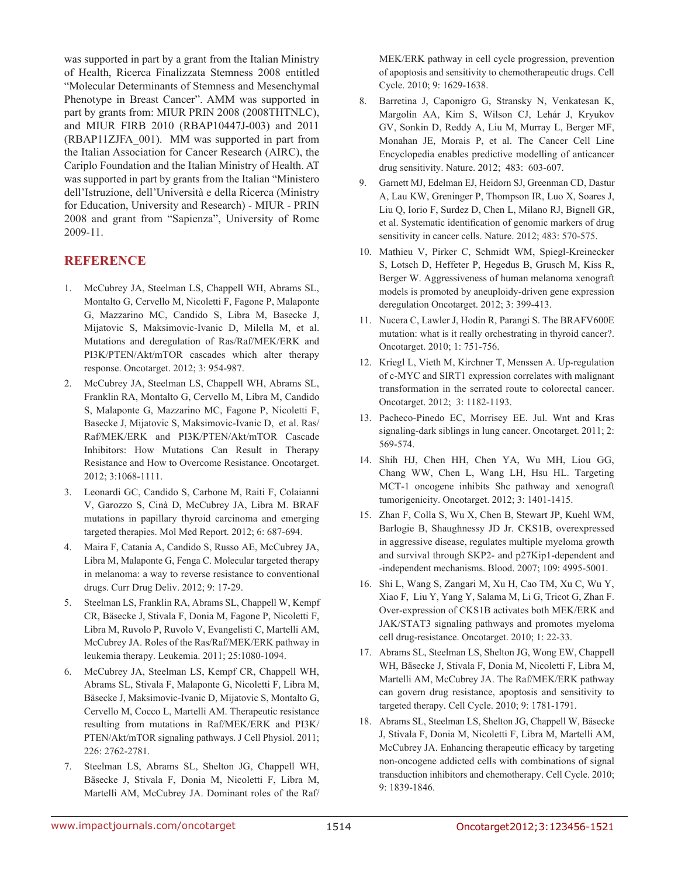was supported in part by a grant from the Italian Ministry of Health, Ricerca Finalizzata Stemness 2008 entitled "Molecular Determinants of Stemness and Mesenchymal Phenotype in Breast Cancer". AMM was supported in part by grants from: MIUR PRIN 2008 (2008THTNLC), and MIUR FIRB 2010 (RBAP10447J-003) and 2011 (RBAP11ZJFA\_001). MM was supported in part from the Italian Association for Cancer Research (AIRC), the Cariplo Foundation and the Italian Ministry of Health. AT was supported in part by grants from the Italian "Ministero dell'Istruzione, dell'Università e della Ricerca (Ministry for Education, University and Research) - MIUR - PRIN 2008 and grant from "Sapienza", University of Rome 2009-11.

## **REFERENCE**

- 1. McCubrey JA, Steelman LS, Chappell WH, Abrams SL, Montalto G, Cervello M, Nicoletti F, Fagone P, Malaponte G, Mazzarino MC, Candido S, Libra M, Basecke J, Mijatovic S, Maksimovic-Ivanic D, Milella M, et al. Mutations and deregulation of Ras/Raf/MEK/ERK and PI3K/PTEN/Akt/mTOR cascades which alter therapy response. Oncotarget. 2012; 3: 954-987.
- 2. McCubrey JA, Steelman LS, Chappell WH, Abrams SL, Franklin RA, Montalto G, Cervello M, Libra M, Candido S, Malaponte G, Mazzarino MC, Fagone P, Nicoletti F, Basecke J, Mijatovic S, Maksimovic-Ivanic D, et al. Ras/ Raf/MEK/ERK and PI3K/PTEN/Akt/mTOR Cascade Inhibitors: How Mutations Can Result in Therapy Resistance and How to Overcome Resistance. Oncotarget. 2012; 3:1068-1111.
- 3. Leonardi GC, Candido S, Carbone M, Raiti F, Colaianni V, Garozzo S, Cinà D, McCubrey JA, Libra M. BRAF mutations in papillary thyroid carcinoma and emerging targeted therapies. Mol Med Report. 2012; 6: 687-694.
- 4. Maira F, Catania A, Candido S, Russo AE, McCubrey JA, Libra M, Malaponte G, Fenga C. Molecular targeted therapy in melanoma: a way to reverse resistance to conventional drugs. Curr Drug Deliv. 2012; 9: 17-29.
- 5. Steelman LS, Franklin RA, Abrams SL, Chappell W, Kempf CR, Bäsecke J, Stivala F, Donia M, Fagone P, Nicoletti F, Libra M, Ruvolo P, Ruvolo V, Evangelisti C, Martelli AM, McCubrey JA. Roles of the Ras/Raf/MEK/ERK pathway in leukemia therapy. Leukemia. 2011; 25:1080-1094.
- 6. McCubrey JA, Steelman LS, Kempf CR, Chappell WH, Abrams SL, Stivala F, Malaponte G, Nicoletti F, Libra M, Bäsecke J, Maksimovic-Ivanic D, Mijatovic S, Montalto G, Cervello M, Cocco L, Martelli AM. Therapeutic resistance resulting from mutations in Raf/MEK/ERK and PI3K/ PTEN/Akt/mTOR signaling pathways. J Cell Physiol. 2011; 226: 2762-2781.
- 7. Steelman LS, Abrams SL, Shelton JG, Chappell WH, Bäsecke J, Stivala F, Donia M, Nicoletti F, Libra M, Martelli AM, McCubrey JA. Dominant roles of the Raf/

MEK/ERK pathway in cell cycle progression, prevention of apoptosis and sensitivity to chemotherapeutic drugs. Cell Cycle. 2010; 9: 1629-1638.

- 8. Barretina J, Caponigro G, Stransky N, Venkatesan K, Margolin AA, Kim S, Wilson CJ, Lehár J, Kryukov GV, Sonkin D, Reddy A, Liu M, Murray L, Berger MF, Monahan JE, Morais P, et al. The Cancer Cell Line Encyclopedia enables predictive modelling of anticancer drug sensitivity. Nature. 2012; 483: 603-607.
- 9. Garnett MJ, Edelman EJ, Heidorn SJ, Greenman CD, Dastur A, Lau KW, Greninger P, Thompson IR, Luo X, Soares J, Liu Q, Iorio F, Surdez D, Chen L, Milano RJ, Bignell GR, et al. Systematic identification of genomic markers of drug sensitivity in cancer cells. Nature. 2012; 483: 570-575.
- 10. Mathieu V, Pirker C, Schmidt WM, Spiegl-Kreinecker S, Lotsch D, Heffeter P, Hegedus B, Grusch M, Kiss R, Berger W. Aggressiveness of human melanoma xenograft models is promoted by aneuploidy-driven gene expression deregulation Oncotarget. 2012; 3: 399-413.
- 11. Nucera C, Lawler J, Hodin R, Parangi S. The BRAFV600E mutation: what is it really orchestrating in thyroid cancer?. Oncotarget. 2010; 1: 751-756.
- 12. Kriegl L, Vieth M, Kirchner T, Menssen A. Up-regulation of c-MYC and SIRT1 expression correlates with malignant transformation in the serrated route to colorectal cancer. Oncotarget. 2012; 3: 1182-1193.
- 13. Pacheco-Pinedo EC, Morrisey EE. Jul. Wnt and Kras signaling-dark siblings in lung cancer. Oncotarget. 2011; 2: 569-574.
- 14. Shih HJ, Chen HH, Chen YA, Wu MH, Liou GG, Chang WW, Chen L, Wang LH, Hsu HL. Targeting MCT-1 oncogene inhibits Shc pathway and xenograft tumorigenicity. Oncotarget. 2012; 3: 1401-1415.
- 15. Zhan F, Colla S, Wu X, Chen B, Stewart JP, Kuehl WM, Barlogie B, Shaughnessy JD Jr. CKS1B, overexpressed in aggressive disease, regulates multiple myeloma growth and survival through SKP2- and p27Kip1-dependent and -independent mechanisms. Blood. 2007; 109: 4995-5001.
- 16. Shi L, Wang S, Zangari M, Xu H, Cao TM, Xu C, Wu Y, Xiao F, Liu Y, Yang Y, Salama M, Li G, Tricot G, Zhan F. Over-expression of CKS1B activates both MEK/ERK and JAK/STAT3 signaling pathways and promotes myeloma cell drug-resistance. Oncotarget. 2010; 1: 22-33.
- 17. Abrams SL, Steelman LS, Shelton JG, Wong EW, Chappell WH, Bäsecke J, Stivala F, Donia M, Nicoletti F, Libra M, Martelli AM, McCubrey JA. The Raf/MEK/ERK pathway can govern drug resistance, apoptosis and sensitivity to targeted therapy. Cell Cycle. 2010; 9: 1781-1791.
- 18. Abrams SL, Steelman LS, Shelton JG, Chappell W, Bäsecke J, Stivala F, Donia M, Nicoletti F, Libra M, Martelli AM, McCubrey JA. Enhancing therapeutic efficacy by targeting non-oncogene addicted cells with combinations of signal transduction inhibitors and chemotherapy. Cell Cycle. 2010; 9: 1839-1846.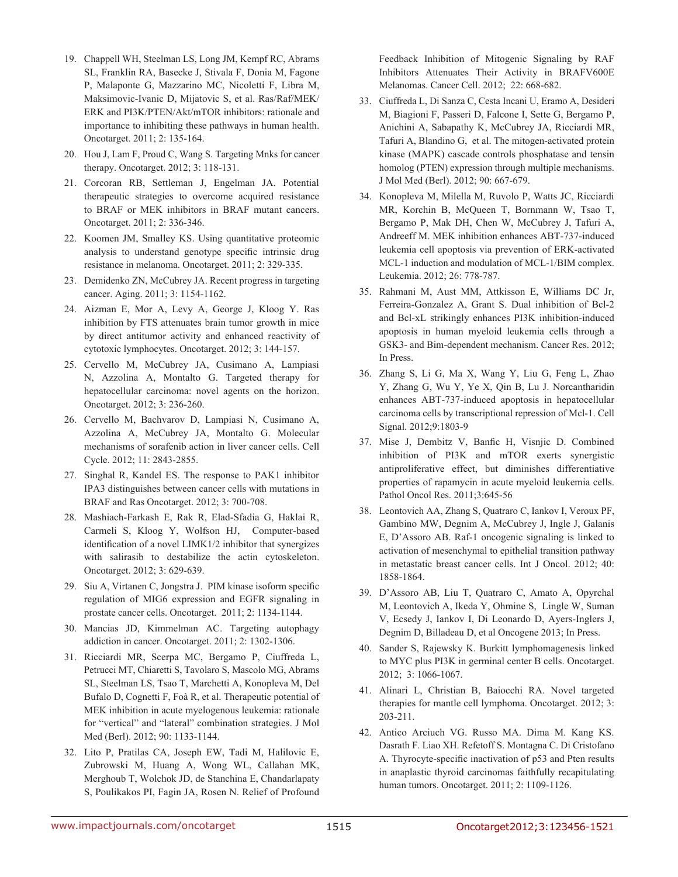- 19. Chappell WH, Steelman LS, Long JM, Kempf RC, Abrams SL, Franklin RA, Basecke J, Stivala F, Donia M, Fagone P, Malaponte G, Mazzarino MC, Nicoletti F, Libra M, Maksimovic-Ivanic D, Mijatovic S, et al. Ras/Raf/MEK/ ERK and PI3K/PTEN/Akt/mTOR inhibitors: rationale and importance to inhibiting these pathways in human health. Oncotarget. 2011; 2: 135-164.
- 20. Hou J, Lam F, Proud C, Wang S. Targeting Mnks for cancer therapy. Oncotarget. 2012; 3: 118-131.
- 21. Corcoran RB, Settleman J, Engelman JA. Potential therapeutic strategies to overcome acquired resistance to BRAF or MEK inhibitors in BRAF mutant cancers. Oncotarget. 2011; 2: 336-346.
- 22. Koomen JM, Smalley KS. Using quantitative proteomic analysis to understand genotype specific intrinsic drug resistance in melanoma. Oncotarget. 2011; 2: 329-335.
- 23. Demidenko ZN, McCubrey JA. Recent progress in targeting cancer. Aging. 2011; 3: 1154-1162.
- 24. Aizman E, Mor A, Levy A, George J, Kloog Y. Ras inhibition by FTS attenuates brain tumor growth in mice by direct antitumor activity and enhanced reactivity of cytotoxic lymphocytes. Oncotarget. 2012; 3: 144-157.
- 25. Cervello M, McCubrey JA, Cusimano A, Lampiasi N, Azzolina A, Montalto G. Targeted therapy for hepatocellular carcinoma: novel agents on the horizon. Oncotarget. 2012; 3: 236-260.
- 26. Cervello M, Bachvarov D, Lampiasi N, Cusimano A, Azzolina A, McCubrey JA, Montalto G. Molecular mechanisms of sorafenib action in liver cancer cells. Cell Cycle. 2012; 11: 2843-2855.
- 27. Singhal R, Kandel ES. The response to PAK1 inhibitor IPA3 distinguishes between cancer cells with mutations in BRAF and Ras Oncotarget. 2012; 3: 700-708.
- 28. Mashiach-Farkash E, Rak R, Elad-Sfadia G, Haklai R, Carmeli S, Kloog Y, Wolfson HJ, Computer-based identification of a novel LIMK1/2 inhibitor that synergizes with salirasib to destabilize the actin cytoskeleton. Oncotarget. 2012; 3: 629-639.
- 29. Siu A, Virtanen C, Jongstra J. PIM kinase isoform specific regulation of MIG6 expression and EGFR signaling in prostate cancer cells. Oncotarget. 2011; 2: 1134-1144.
- 30. Mancias JD, Kimmelman AC. Targeting autophagy addiction in cancer. Oncotarget. 2011; 2: 1302-1306.
- 31. Ricciardi MR, Scerpa MC, Bergamo P, Ciuffreda L, Petrucci MT, Chiaretti S, Tavolaro S, Mascolo MG, Abrams SL, Steelman LS, Tsao T, Marchetti A, Konopleva M, Del Bufalo D, Cognetti F, Foà R, et al. Therapeutic potential of MEK inhibition in acute myelogenous leukemia: rationale for "vertical" and "lateral" combination strategies. J Mol Med (Berl). 2012; 90: 1133-1144.
- 32. Lito P, Pratilas CA, Joseph EW, Tadi M, Halilovic E, Zubrowski M, Huang A, Wong WL, Callahan MK, Merghoub T, Wolchok JD, de Stanchina E, Chandarlapaty S, Poulikakos PI, Fagin JA, Rosen N. Relief of Profound

Feedback Inhibition of Mitogenic Signaling by RAF Inhibitors Attenuates Their Activity in BRAFV600E Melanomas. Cancer Cell. 2012; 22: 668-682.

- 33. Ciuffreda L, Di Sanza C, Cesta Incani U, Eramo A, Desideri M, Biagioni F, Passeri D, Falcone I, Sette G, Bergamo P, Anichini A, Sabapathy K, McCubrey JA, Ricciardi MR, Tafuri A, Blandino G, et al. The mitogen-activated protein kinase (MAPK) cascade controls phosphatase and tensin homolog (PTEN) expression through multiple mechanisms. J Mol Med (Berl). 2012; 90: 667-679.
- 34. Konopleva M, Milella M, Ruvolo P, Watts JC, Ricciardi MR, Korchin B, McQueen T, Bornmann W, Tsao T, Bergamo P, Mak DH, Chen W, McCubrey J, Tafuri A, Andreeff M. MEK inhibition enhances ABT-737-induced leukemia cell apoptosis via prevention of ERK-activated MCL-1 induction and modulation of MCL-1/BIM complex. Leukemia. 2012; 26: 778-787.
- 35. Rahmani M, Aust MM, Attkisson E, Williams DC Jr, Ferreira-Gonzalez A, Grant S. Dual inhibition of Bcl-2 and Bcl-xL strikingly enhances PI3K inhibition-induced apoptosis in human myeloid leukemia cells through a GSK3- and Bim-dependent mechanism. Cancer Res. 2012; In Press.
- 36. Zhang S, Li G, Ma X, Wang Y, Liu G, Feng L, Zhao Y, Zhang G, Wu Y, Ye X, Qin B, Lu J. Norcantharidin enhances ABT-737-induced apoptosis in hepatocellular carcinoma cells by transcriptional repression of Mcl-1. Cell Signal. 2012;9:1803-9
- 37. Mise J, Dembitz V, Banfic H, Visnjic D. Combined inhibition of PI3K and mTOR exerts synergistic antiproliferative effect, but diminishes differentiative properties of rapamycin in acute myeloid leukemia cells. Pathol Oncol Res. 2011;3:645-56
- 38. Leontovich AA, Zhang S, Quatraro C, Iankov I, Veroux PF, Gambino MW, Degnim A, McCubrey J, Ingle J, Galanis E, D'Assoro AB. Raf-1 oncogenic signaling is linked to activation of mesenchymal to epithelial transition pathway in metastatic breast cancer cells. Int J Oncol. 2012; 40: 1858-1864.
- 39. D'Assoro AB, Liu T, Quatraro C, Amato A, Opyrchal M, Leontovich A, Ikeda Y, Ohmine S, Lingle W, Suman V, Ecsedy J, Iankov I, Di Leonardo D, Ayers-Inglers J, Degnim D, Billadeau D, et al Oncogene 2013; In Press.
- 40. Sander S, Rajewsky K. Burkitt lymphomagenesis linked to MYC plus PI3K in germinal center B cells. Oncotarget. 2012; 3: 1066-1067.
- 41. Alinari L, Christian B, Baiocchi RA. Novel targeted therapies for mantle cell lymphoma. Oncotarget. 2012; 3: 203-211.
- 42. Antico Arciuch VG. Russo MA. Dima M. Kang KS. Dasrath F. Liao XH. Refetoff S. Montagna C. Di Cristofano A. Thyrocyte-specific inactivation of p53 and Pten results in anaplastic thyroid carcinomas faithfully recapitulating human tumors. Oncotarget. 2011; 2: 1109-1126.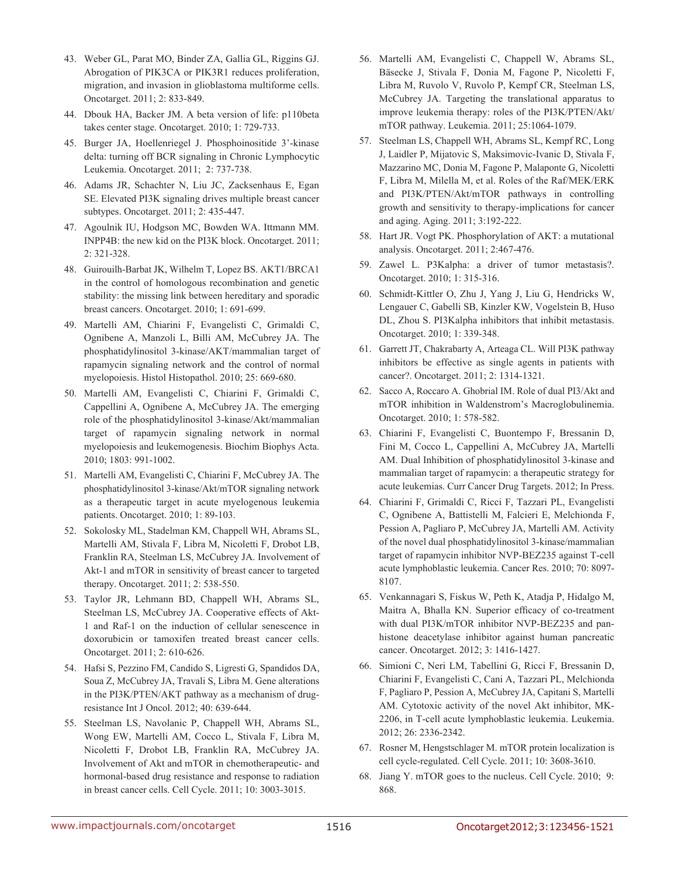- 43. Weber GL, Parat MO, Binder ZA, Gallia GL, Riggins GJ. Abrogation of PIK3CA or PIK3R1 reduces proliferation, migration, and invasion in glioblastoma multiforme cells. Oncotarget. 2011; 2: 833-849.
- 44. Dbouk HA, Backer JM. A beta version of life: p110beta takes center stage. Oncotarget. 2010; 1: 729-733.
- 45. Burger JA, Hoellenriegel J. Phosphoinositide 3'-kinase delta: turning off BCR signaling in Chronic Lymphocytic Leukemia. Oncotarget. 2011; 2: 737-738.
- 46. Adams JR, Schachter N, Liu JC, Zacksenhaus E, Egan SE. Elevated PI3K signaling drives multiple breast cancer subtypes. Oncotarget. 2011; 2: 435-447.
- 47. Agoulnik IU, Hodgson MC, Bowden WA. Ittmann MM. INPP4B: the new kid on the PI3K block. Oncotarget. 2011; 2: 321-328.
- 48. Guirouilh-Barbat JK, Wilhelm T, Lopez BS. AKT1/BRCA1 in the control of homologous recombination and genetic stability: the missing link between hereditary and sporadic breast cancers. Oncotarget. 2010; 1: 691-699.
- 49. Martelli AM, Chiarini F, Evangelisti C, Grimaldi C, Ognibene A, Manzoli L, Billi AM, McCubrey JA. The phosphatidylinositol 3-kinase/AKT/mammalian target of rapamycin signaling network and the control of normal myelopoiesis. Histol Histopathol. 2010; 25: 669-680.
- 50. Martelli AM, Evangelisti C, Chiarini F, Grimaldi C, Cappellini A, Ognibene A, McCubrey JA. The emerging role of the phosphatidylinositol 3-kinase/Akt/mammalian target of rapamycin signaling network in normal myelopoiesis and leukemogenesis. Biochim Biophys Acta. 2010; 1803: 991-1002.
- 51. Martelli AM, Evangelisti C, Chiarini F, McCubrey JA. The phosphatidylinositol 3-kinase/Akt/mTOR signaling network as a therapeutic target in acute myelogenous leukemia patients. Oncotarget. 2010; 1: 89-103.
- 52. Sokolosky ML, Stadelman KM, Chappell WH, Abrams SL, Martelli AM, Stivala F, Libra M, Nicoletti F, Drobot LB, Franklin RA, Steelman LS, McCubrey JA. Involvement of Akt-1 and mTOR in sensitivity of breast cancer to targeted therapy. Oncotarget. 2011; 2: 538-550.
- 53. Taylor JR, Lehmann BD, Chappell WH, Abrams SL, Steelman LS, McCubrey JA. Cooperative effects of Akt-1 and Raf-1 on the induction of cellular senescence in doxorubicin or tamoxifen treated breast cancer cells. Oncotarget. 2011; 2: 610-626.
- 54. Hafsi S, Pezzino FM, Candido S, Ligresti G, Spandidos DA, Soua Z, McCubrey JA, Travali S, Libra M. Gene alterations in the PI3K/PTEN/AKT pathway as a mechanism of drugresistance Int J Oncol. 2012; 40: 639-644.
- 55. Steelman LS, Navolanic P, Chappell WH, Abrams SL, Wong EW, Martelli AM, Cocco L, Stivala F, Libra M, Nicoletti F, Drobot LB, Franklin RA, McCubrey JA. Involvement of Akt and mTOR in chemotherapeutic- and hormonal-based drug resistance and response to radiation in breast cancer cells. Cell Cycle. 2011; 10: 3003-3015.
- 56. Martelli AM, Evangelisti C, Chappell W, Abrams SL, Bäsecke J, Stivala F, Donia M, Fagone P, Nicoletti F, Libra M, Ruvolo V, Ruvolo P, Kempf CR, Steelman LS, McCubrey JA. Targeting the translational apparatus to improve leukemia therapy: roles of the PI3K/PTEN/Akt/ mTOR pathway. Leukemia. 2011; 25:1064-1079.
- 57. Steelman LS, Chappell WH, Abrams SL, Kempf RC, Long J, Laidler P, Mijatovic S, Maksimovic-Ivanic D, Stivala F, Mazzarino MC, Donia M, Fagone P, Malaponte G, Nicoletti F, Libra M, Milella M, et al. Roles of the Raf/MEK/ERK and PI3K/PTEN/Akt/mTOR pathways in controlling growth and sensitivity to therapy-implications for cancer and aging. Aging. 2011; 3:192-222.
- 58. Hart JR. Vogt PK. Phosphorylation of AKT: a mutational analysis. Oncotarget. 2011; 2:467-476.
- 59. Zawel L. P3Kalpha: a driver of tumor metastasis?. Oncotarget. 2010; 1: 315-316.
- 60. Schmidt-Kittler O, Zhu J, Yang J, Liu G, Hendricks W, Lengauer C, Gabelli SB, Kinzler KW, Vogelstein B, Huso DL, Zhou S. PI3Kalpha inhibitors that inhibit metastasis. Oncotarget. 2010; 1: 339-348.
- 61. Garrett JT, Chakrabarty A, Arteaga CL. Will PI3K pathway inhibitors be effective as single agents in patients with cancer?. Oncotarget. 2011; 2: 1314-1321.
- 62. Sacco A, Roccaro A. Ghobrial IM. Role of dual PI3/Akt and mTOR inhibition in Waldenstrom's Macroglobulinemia. Oncotarget. 2010; 1: 578-582.
- 63. Chiarini F, Evangelisti C, Buontempo F, Bressanin D, Fini M, Cocco L, Cappellini A, McCubrey JA, Martelli AM. Dual Inhibition of phosphatidylinositol 3-kinase and mammalian target of rapamycin: a therapeutic strategy for acute leukemias. Curr Cancer Drug Targets. 2012; In Press.
- 64. Chiarini F, Grimaldi C, Ricci F, Tazzari PL, Evangelisti C, Ognibene A, Battistelli M, Falcieri E, Melchionda F, Pession A, Pagliaro P, McCubrey JA, Martelli AM. Activity of the novel dual phosphatidylinositol 3-kinase/mammalian target of rapamycin inhibitor NVP-BEZ235 against T-cell acute lymphoblastic leukemia. Cancer Res. 2010; 70: 8097- 8107.
- 65. Venkannagari S, Fiskus W, Peth K, Atadja P, Hidalgo M, Maitra A, Bhalla KN. Superior efficacy of co-treatment with dual PI3K/mTOR inhibitor NVP-BEZ235 and panhistone deacetylase inhibitor against human pancreatic cancer. Oncotarget. 2012; 3: 1416-1427.
- 66. Simioni C, Neri LM, Tabellini G, Ricci F, Bressanin D, Chiarini F, Evangelisti C, Cani A, Tazzari PL, Melchionda F, Pagliaro P, Pession A, McCubrey JA, Capitani S, Martelli AM. Cytotoxic activity of the novel Akt inhibitor, MK-2206, in T-cell acute lymphoblastic leukemia. Leukemia. 2012; 26: 2336-2342.
- 67. Rosner M, Hengstschlager M. mTOR protein localization is cell cycle-regulated. Cell Cycle. 2011; 10: 3608-3610.
- 68. Jiang Y. mTOR goes to the nucleus. Cell Cycle. 2010; 9: 868.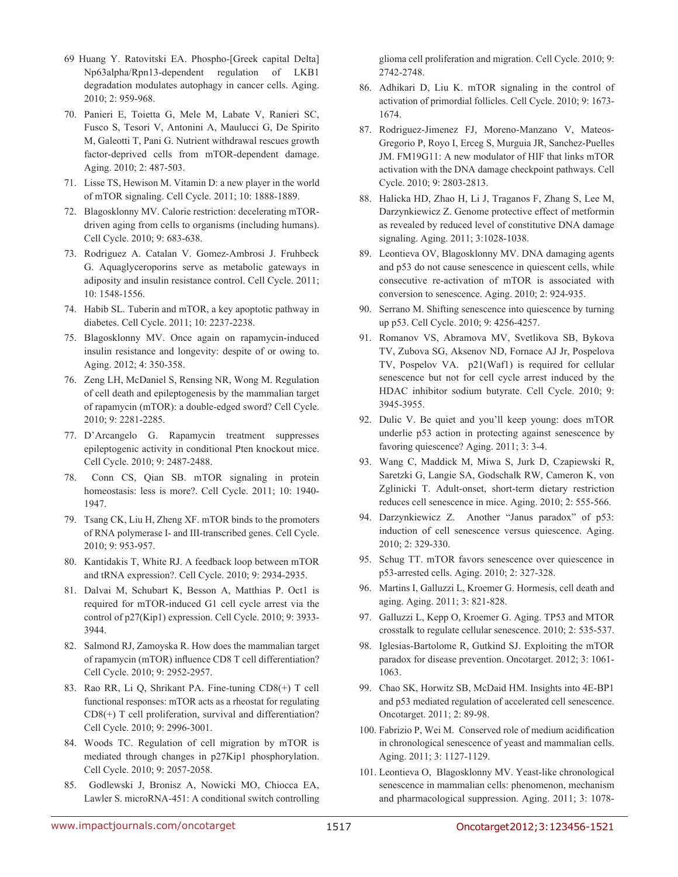- 69 Huang Y. Ratovitski EA. Phospho-[Greek capital Delta] Np63alpha/Rpn13-dependent regulation of LKB1 degradation modulates autophagy in cancer cells. Aging. 2010; 2: 959-968.
- 70. Panieri E, Toietta G, Mele M, Labate V, Ranieri SC, Fusco S, Tesori V, Antonini A, Maulucci G, De Spirito M, Galeotti T, Pani G. Nutrient withdrawal rescues growth factor-deprived cells from mTOR-dependent damage. Aging. 2010; 2: 487-503.
- 71. Lisse TS, Hewison M. Vitamin D: a new player in the world of mTOR signaling. Cell Cycle. 2011; 10: 1888-1889.
- 72. Blagosklonny MV. Calorie restriction: decelerating mTORdriven aging from cells to organisms (including humans). Cell Cycle. 2010; 9: 683-638.
- 73. Rodriguez A. Catalan V. Gomez-Ambrosi J. Fruhbeck G. Aquaglyceroporins serve as metabolic gateways in adiposity and insulin resistance control. Cell Cycle. 2011; 10: 1548-1556.
- 74. Habib SL. Tuberin and mTOR, a key apoptotic pathway in diabetes. Cell Cycle. 2011; 10: 2237-2238.
- 75. Blagosklonny MV. Once again on rapamycin-induced insulin resistance and longevity: despite of or owing to. Aging. 2012; 4: 350-358.
- 76. Zeng LH, McDaniel S, Rensing NR, Wong M. Regulation of cell death and epileptogenesis by the mammalian target of rapamycin (mTOR): a double-edged sword? Cell Cycle. 2010; 9: 2281-2285.
- 77. D'Arcangelo G. Rapamycin treatment suppresses epileptogenic activity in conditional Pten knockout mice. Cell Cycle. 2010; 9: 2487-2488.
- 78. Conn CS, Qian SB. mTOR signaling in protein homeostasis: less is more?. Cell Cycle. 2011; 10: 1940-1947.
- 79. Tsang CK, Liu H, Zheng XF. mTOR binds to the promoters of RNA polymerase I- and III-transcribed genes. Cell Cycle. 2010; 9: 953-957.
- 80. Kantidakis T, White RJ. A feedback loop between mTOR and tRNA expression?. Cell Cycle. 2010; 9: 2934-2935.
- 81. Dalvai M, Schubart K, Besson A, Matthias P. Oct1 is required for mTOR-induced G1 cell cycle arrest via the control of p27(Kip1) expression. Cell Cycle. 2010; 9: 3933- 3944.
- 82. Salmond RJ, Zamoyska R. How does the mammalian target of rapamycin (mTOR) influence CD8 T cell differentiation? Cell Cycle. 2010; 9: 2952-2957.
- 83. Rao RR, Li Q, Shrikant PA. Fine-tuning CD8(+) T cell functional responses: mTOR acts as a rheostat for regulating CD8(+) T cell proliferation, survival and differentiation? Cell Cycle. 2010; 9: 2996-3001.
- 84. Woods TC. Regulation of cell migration by mTOR is mediated through changes in p27Kip1 phosphorylation. Cell Cycle. 2010; 9: 2057-2058.
- 85. Godlewski J, Bronisz A, Nowicki MO, Chiocca EA, Lawler S. microRNA-451: A conditional switch controlling

glioma cell proliferation and migration. Cell Cycle. 2010; 9: 2742-2748.

- 86. Adhikari D, Liu K. mTOR signaling in the control of activation of primordial follicles. Cell Cycle. 2010; 9: 1673- 1674.
- 87. Rodriguez-Jimenez FJ, Moreno-Manzano V, Mateos-Gregorio P, Royo I, Erceg S, Murguia JR, Sanchez-Puelles JM. FM19G11: A new modulator of HIF that links mTOR activation with the DNA damage checkpoint pathways. Cell Cycle. 2010; 9: 2803-2813.
- 88. Halicka HD, Zhao H, Li J, Traganos F, Zhang S, Lee M, Darzynkiewicz Z. Genome protective effect of metformin as revealed by reduced level of constitutive DNA damage signaling. Aging. 2011; 3:1028-1038.
- 89. Leontieva OV, Blagosklonny MV. DNA damaging agents and p53 do not cause senescence in quiescent cells, while consecutive re-activation of mTOR is associated with conversion to senescence. Aging. 2010; 2: 924-935.
- 90. Serrano M. Shifting senescence into quiescence by turning up p53. Cell Cycle. 2010; 9: 4256-4257.
- 91. Romanov VS, Abramova MV, Svetlikova SB, Bykova TV, Zubova SG, Aksenov ND, Fornace AJ Jr, Pospelova TV, Pospelov VA. p21(Waf1) is required for cellular senescence but not for cell cycle arrest induced by the HDAC inhibitor sodium butyrate. Cell Cycle. 2010; 9: 3945-3955.
- 92. Dulic V. Be quiet and you'll keep young: does mTOR underlie p53 action in protecting against senescence by favoring quiescence? Aging. 2011; 3: 3-4.
- 93. Wang C, Maddick M, Miwa S, Jurk D, Czapiewski R, Saretzki G, Langie SA, Godschalk RW, Cameron K, von Zglinicki T. Adult-onset, short-term dietary restriction reduces cell senescence in mice. Aging. 2010; 2: 555-566.
- 94. Darzynkiewicz Z. Another "Janus paradox" of p53: induction of cell senescence versus quiescence. Aging. 2010; 2: 329-330.
- 95. Schug TT. mTOR favors senescence over quiescence in p53-arrested cells. Aging. 2010; 2: 327-328.
- 96. Martins I, Galluzzi L, Kroemer G. Hormesis, cell death and aging. Aging. 2011; 3: 821-828.
- 97. Galluzzi L, Kepp O, Kroemer G. Aging. TP53 and MTOR crosstalk to regulate cellular senescence. 2010; 2: 535-537.
- 98. Iglesias-Bartolome R, Gutkind SJ. Exploiting the mTOR paradox for disease prevention. Oncotarget. 2012; 3: 1061- 1063.
- 99. Chao SK, Horwitz SB, McDaid HM. Insights into 4E-BP1 and p53 mediated regulation of accelerated cell senescence. Oncotarget. 2011; 2: 89-98.
- 100. Fabrizio P, Wei M. Conserved role of medium acidification in chronological senescence of yeast and mammalian cells. Aging. 2011; 3: 1127-1129.
- 101. Leontieva O, Blagosklonny MV. Yeast-like chronological senescence in mammalian cells: phenomenon, mechanism and pharmacological suppression. Aging. 2011; 3: 1078-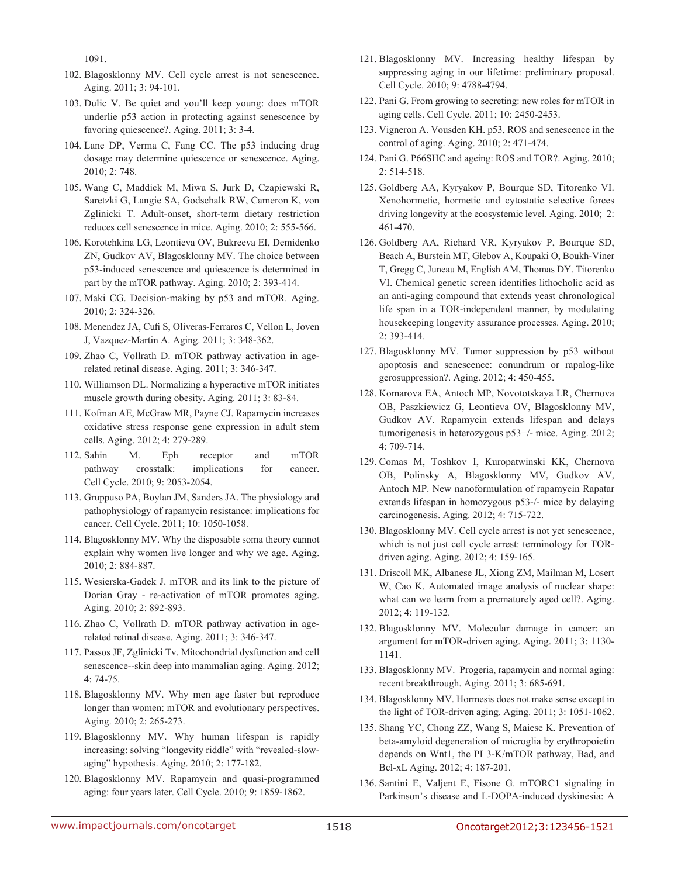1091.

- 102. Blagosklonny MV. Cell cycle arrest is not senescence. Aging. 2011; 3: 94-101.
- 103. Dulic V. Be quiet and you'll keep young: does mTOR underlie p53 action in protecting against senescence by favoring quiescence?. Aging. 2011; 3: 3-4.
- 104. Lane DP, Verma C, Fang CC. The p53 inducing drug dosage may determine quiescence or senescence. Aging. 2010; 2: 748.
- 105. Wang C, Maddick M, Miwa S, Jurk D, Czapiewski R, Saretzki G, Langie SA, Godschalk RW, Cameron K, von Zglinicki T. Adult-onset, short-term dietary restriction reduces cell senescence in mice. Aging. 2010; 2: 555-566.
- 106. Korotchkina LG, Leontieva OV, Bukreeva EI, Demidenko ZN, Gudkov AV, Blagosklonny MV. The choice between p53-induced senescence and quiescence is determined in part by the mTOR pathway. Aging. 2010; 2: 393-414.
- 107. Maki CG. Decision-making by p53 and mTOR. Aging. 2010; 2: 324-326.
- 108. Menendez JA, Cufi S, Oliveras-Ferraros C, Vellon L, Joven J, Vazquez-Martin A. Aging. 2011; 3: 348-362.
- 109. Zhao C, Vollrath D. mTOR pathway activation in agerelated retinal disease. Aging. 2011; 3: 346-347.
- 110. Williamson DL. Normalizing a hyperactive mTOR initiates muscle growth during obesity. Aging. 2011; 3: 83-84.
- 111. Kofman AE, McGraw MR, Payne CJ. Rapamycin increases oxidative stress response gene expression in adult stem cells. Aging. 2012; 4: 279-289.
- 112. Sahin M. Eph receptor and mTOR pathway crosstalk: implications for cancer. Cell Cycle. 2010; 9: 2053-2054.
- 113. Gruppuso PA, Boylan JM, Sanders JA. The physiology and pathophysiology of rapamycin resistance: implications for cancer. Cell Cycle. 2011; 10: 1050-1058.
- 114. Blagosklonny MV. Why the disposable soma theory cannot explain why women live longer and why we age. Aging. 2010; 2: 884-887.
- 115. Wesierska-Gadek J. mTOR and its link to the picture of Dorian Gray - re-activation of mTOR promotes aging. Aging. 2010; 2: 892-893.
- 116. Zhao C, Vollrath D. mTOR pathway activation in agerelated retinal disease. Aging. 2011; 3: 346-347.
- 117. Passos JF, Zglinicki Tv. Mitochondrial dysfunction and cell senescence--skin deep into mammalian aging. Aging. 2012; 4: 74-75.
- 118. Blagosklonny MV. Why men age faster but reproduce longer than women: mTOR and evolutionary perspectives. Aging. 2010; 2: 265-273.
- 119. Blagosklonny MV. Why human lifespan is rapidly increasing: solving "longevity riddle" with "revealed-slowaging" hypothesis. Aging. 2010; 2: 177-182.
- 120. Blagosklonny MV. Rapamycin and quasi-programmed aging: four years later. Cell Cycle. 2010; 9: 1859-1862.
- 121. Blagosklonny MV. Increasing healthy lifespan by suppressing aging in our lifetime: preliminary proposal. Cell Cycle. 2010; 9: 4788-4794.
- 122. Pani G. From growing to secreting: new roles for mTOR in aging cells. Cell Cycle. 2011; 10: 2450-2453.
- 123. Vigneron A. Vousden KH. p53, ROS and senescence in the control of aging. Aging. 2010; 2: 471-474.
- 124. Pani G. P66SHC and ageing: ROS and TOR?. Aging. 2010; 2: 514-518.
- 125. Goldberg AA, Kyryakov P, Bourque SD, Titorenko VI. Xenohormetic, hormetic and cytostatic selective forces driving longevity at the ecosystemic level. Aging. 2010; 2: 461-470.
- 126. Goldberg AA, Richard VR, Kyryakov P, Bourque SD, Beach A, Burstein MT, Glebov A, Koupaki O, Boukh-Viner T, Gregg C, Juneau M, English AM, Thomas DY. Titorenko VI. Chemical genetic screen identifies lithocholic acid as an anti-aging compound that extends yeast chronological life span in a TOR-independent manner, by modulating housekeeping longevity assurance processes. Aging. 2010; 2: 393-414.
- 127. Blagosklonny MV. Tumor suppression by p53 without apoptosis and senescence: conundrum or rapalog-like gerosuppression?. Aging. 2012; 4: 450-455.
- 128. Komarova EA, Antoch MP, Novototskaya LR, Chernova OB, Paszkiewicz G, Leontieva OV, Blagosklonny MV, Gudkov AV. Rapamycin extends lifespan and delays tumorigenesis in heterozygous p53+/- mice. Aging. 2012; 4: 709-714.
- 129. Comas M, Toshkov I, Kuropatwinski KK, Chernova OB, Polinsky A, Blagosklonny MV, Gudkov AV, Antoch MP. New nanoformulation of rapamycin Rapatar extends lifespan in homozygous p53-/- mice by delaying carcinogenesis. Aging. 2012; 4: 715-722.
- 130. Blagosklonny MV. Cell cycle arrest is not yet senescence, which is not just cell cycle arrest: terminology for TORdriven aging. Aging. 2012; 4: 159-165.
- 131. Driscoll MK, Albanese JL, Xiong ZM, Mailman M, Losert W, Cao K. Automated image analysis of nuclear shape: what can we learn from a prematurely aged cell?. Aging. 2012; 4: 119-132.
- 132. Blagosklonny MV. Molecular damage in cancer: an argument for mTOR-driven aging. Aging. 2011; 3: 1130- 1141.
- 133. Blagosklonny MV. Progeria, rapamycin and normal aging: recent breakthrough. Aging. 2011; 3: 685-691.
- 134. Blagosklonny MV. Hormesis does not make sense except in the light of TOR-driven aging. Aging. 2011; 3: 1051-1062.
- 135. Shang YC, Chong ZZ, Wang S, Maiese K. Prevention of beta-amyloid degeneration of microglia by erythropoietin depends on Wnt1, the PI 3-K/mTOR pathway, Bad, and Bcl-xL Aging. 2012; 4: 187-201.
- 136. Santini E, Valjent E, Fisone G. mTORC1 signaling in Parkinson's disease and L-DOPA-induced dyskinesia: A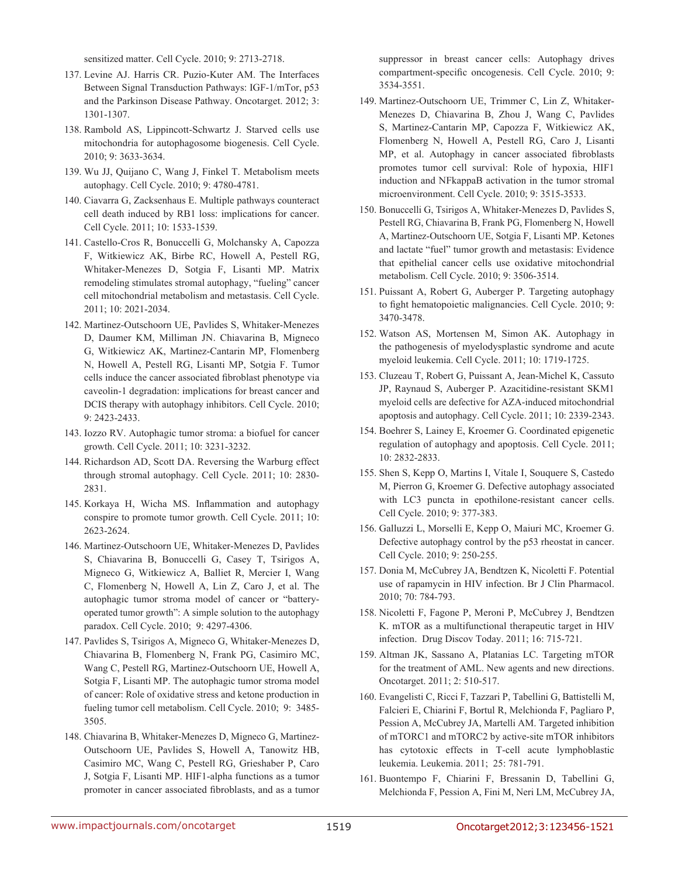sensitized matter. Cell Cycle. 2010; 9: 2713-2718.

- 137. Levine AJ. Harris CR. Puzio-Kuter AM. The Interfaces Between Signal Transduction Pathways: IGF-1/mTor, p53 and the Parkinson Disease Pathway. Oncotarget. 2012; 3: 1301-1307.
- 138. Rambold AS, Lippincott-Schwartz J. Starved cells use mitochondria for autophagosome biogenesis. Cell Cycle. 2010; 9: 3633-3634.
- 139. Wu JJ, Quijano C, Wang J, Finkel T. Metabolism meets autophagy. Cell Cycle. 2010; 9: 4780-4781.
- 140. Ciavarra G, Zacksenhaus E. Multiple pathways counteract cell death induced by RB1 loss: implications for cancer. Cell Cycle. 2011; 10: 1533-1539.
- 141. Castello-Cros R, Bonuccelli G, Molchansky A, Capozza F, Witkiewicz AK, Birbe RC, Howell A, Pestell RG, Whitaker-Menezes D, Sotgia F, Lisanti MP. Matrix remodeling stimulates stromal autophagy, "fueling" cancer cell mitochondrial metabolism and metastasis. Cell Cycle. 2011; 10: 2021-2034.
- 142. Martinez-Outschoorn UE, Pavlides S, Whitaker-Menezes D, Daumer KM, Milliman JN. Chiavarina B, Migneco G, Witkiewicz AK, Martinez-Cantarin MP, Flomenberg N, Howell A, Pestell RG, Lisanti MP, Sotgia F. Tumor cells induce the cancer associated fibroblast phenotype via caveolin-1 degradation: implications for breast cancer and DCIS therapy with autophagy inhibitors. Cell Cycle. 2010; 9: 2423-2433.
- 143. Iozzo RV. Autophagic tumor stroma: a biofuel for cancer growth. Cell Cycle. 2011; 10: 3231-3232.
- 144. Richardson AD, Scott DA. Reversing the Warburg effect through stromal autophagy. Cell Cycle. 2011; 10: 2830- 2831.
- 145. Korkaya H, Wicha MS. Inflammation and autophagy conspire to promote tumor growth. Cell Cycle. 2011; 10: 2623-2624.
- 146. Martinez-Outschoorn UE, Whitaker-Menezes D, Pavlides S, Chiavarina B, Bonuccelli G, Casey T, Tsirigos A, Migneco G, Witkiewicz A, Balliet R, Mercier I, Wang C, Flomenberg N, Howell A, Lin Z, Caro J, et al. The autophagic tumor stroma model of cancer or "batteryoperated tumor growth": A simple solution to the autophagy paradox. Cell Cycle. 2010; 9: 4297-4306.
- 147. Pavlides S, Tsirigos A, Migneco G, Whitaker-Menezes D, Chiavarina B, Flomenberg N, Frank PG, Casimiro MC, Wang C, Pestell RG, Martinez-Outschoorn UE, Howell A, Sotgia F, Lisanti MP. The autophagic tumor stroma model of cancer: Role of oxidative stress and ketone production in fueling tumor cell metabolism. Cell Cycle. 2010; 9: 3485- 3505.
- 148. Chiavarina B, Whitaker-Menezes D, Migneco G, Martinez-Outschoorn UE, Pavlides S, Howell A, Tanowitz HB, Casimiro MC, Wang C, Pestell RG, Grieshaber P, Caro J, Sotgia F, Lisanti MP. HIF1-alpha functions as a tumor promoter in cancer associated fibroblasts, and as a tumor

suppressor in breast cancer cells: Autophagy drives compartment-specific oncogenesis. Cell Cycle. 2010; 9: 3534-3551.

- 149. Martinez-Outschoorn UE, Trimmer C, Lin Z, Whitaker-Menezes D, Chiavarina B, Zhou J, Wang C, Pavlides S, Martinez-Cantarin MP, Capozza F, Witkiewicz AK, Flomenberg N, Howell A, Pestell RG, Caro J, Lisanti MP, et al. Autophagy in cancer associated fibroblasts promotes tumor cell survival: Role of hypoxia, HIF1 induction and NFkappaB activation in the tumor stromal microenvironment. Cell Cycle. 2010; 9: 3515-3533.
- 150. Bonuccelli G, Tsirigos A, Whitaker-Menezes D, Pavlides S, Pestell RG, Chiavarina B, Frank PG, Flomenberg N, Howell A, Martinez-Outschoorn UE, Sotgia F, Lisanti MP. Ketones and lactate "fuel" tumor growth and metastasis: Evidence that epithelial cancer cells use oxidative mitochondrial metabolism. Cell Cycle. 2010; 9: 3506-3514.
- 151. Puissant A, Robert G, Auberger P. Targeting autophagy to fight hematopoietic malignancies. Cell Cycle. 2010; 9: 3470-3478.
- 152. Watson AS, Mortensen M, Simon AK. Autophagy in the pathogenesis of myelodysplastic syndrome and acute myeloid leukemia. Cell Cycle. 2011; 10: 1719-1725.
- 153. Cluzeau T, Robert G, Puissant A, Jean-Michel K, Cassuto JP, Raynaud S, Auberger P. Azacitidine-resistant SKM1 myeloid cells are defective for AZA-induced mitochondrial apoptosis and autophagy. Cell Cycle. 2011; 10: 2339-2343.
- 154. Boehrer S, Lainey E, Kroemer G. Coordinated epigenetic regulation of autophagy and apoptosis. Cell Cycle. 2011; 10: 2832-2833.
- 155. Shen S, Kepp O, Martins I, Vitale I, Souquere S, Castedo M, Pierron G, Kroemer G. Defective autophagy associated with LC3 puncta in epothilone-resistant cancer cells. Cell Cycle. 2010; 9: 377-383.
- 156. Galluzzi L, Morselli E, Kepp O, Maiuri MC, Kroemer G. Defective autophagy control by the p53 rheostat in cancer. Cell Cycle. 2010; 9: 250-255.
- 157. Donia M, McCubrey JA, Bendtzen K, Nicoletti F. Potential use of rapamycin in HIV infection. Br J Clin Pharmacol. 2010; 70: 784-793.
- 158. Nicoletti F, Fagone P, Meroni P, McCubrey J, Bendtzen K. mTOR as a multifunctional therapeutic target in HIV infection. Drug Discov Today. 2011; 16: 715-721.
- 159. Altman JK, Sassano A, Platanias LC. Targeting mTOR for the treatment of AML. New agents and new directions. Oncotarget. 2011; 2: 510-517.
- 160. Evangelisti C, Ricci F, Tazzari P, Tabellini G, Battistelli M, Falcieri E, Chiarini F, Bortul R, Melchionda F, Pagliaro P, Pession A, McCubrey JA, Martelli AM. Targeted inhibition of mTORC1 and mTORC2 by active-site mTOR inhibitors has cytotoxic effects in T-cell acute lymphoblastic leukemia. Leukemia. 2011; 25: 781-791.
- 161. Buontempo F, Chiarini F, Bressanin D, Tabellini G, Melchionda F, Pession A, Fini M, Neri LM, McCubrey JA,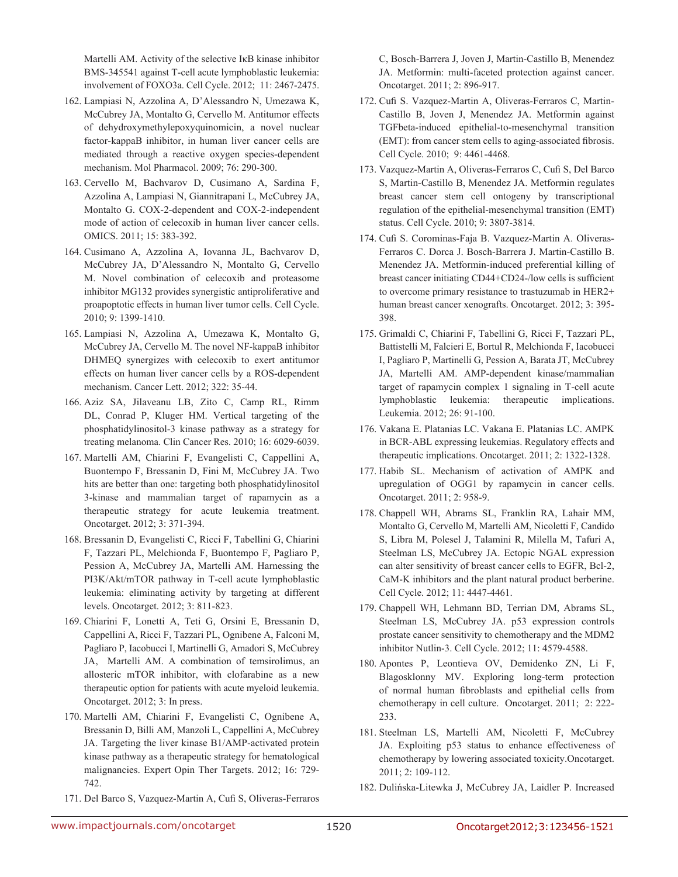Martelli AM. Activity of the selective IκB kinase inhibitor BMS-345541 against T-cell acute lymphoblastic leukemia: involvement of FOXO3a. Cell Cycle. 2012; 11: 2467-2475.

- 162. Lampiasi N, Azzolina A, D'Alessandro N, Umezawa K, McCubrey JA, Montalto G, Cervello M. Antitumor effects of dehydroxymethylepoxyquinomicin, a novel nuclear factor-kappaB inhibitor, in human liver cancer cells are mediated through a reactive oxygen species-dependent mechanism. Mol Pharmacol. 2009; 76: 290-300.
- 163. Cervello M, Bachvarov D, Cusimano A, Sardina F, Azzolina A, Lampiasi N, Giannitrapani L, McCubrey JA, Montalto G. COX-2-dependent and COX-2-independent mode of action of celecoxib in human liver cancer cells. OMICS. 2011; 15: 383-392.
- 164. Cusimano A, Azzolina A, Iovanna JL, Bachvarov D, McCubrey JA, D'Alessandro N, Montalto G, Cervello M. Novel combination of celecoxib and proteasome inhibitor MG132 provides synergistic antiproliferative and proapoptotic effects in human liver tumor cells. Cell Cycle. 2010; 9: 1399-1410.
- 165. Lampiasi N, Azzolina A, Umezawa K, Montalto G, McCubrey JA, Cervello M. The novel NF-kappaB inhibitor DHMEQ synergizes with celecoxib to exert antitumor effects on human liver cancer cells by a ROS-dependent mechanism. Cancer Lett. 2012; 322: 35-44.
- 166. Aziz SA, Jilaveanu LB, Zito C, Camp RL, Rimm DL, Conrad P, Kluger HM. Vertical targeting of the phosphatidylinositol-3 kinase pathway as a strategy for treating melanoma. Clin Cancer Res. 2010; 16: 6029-6039.
- 167. Martelli AM, Chiarini F, Evangelisti C, Cappellini A, Buontempo F, Bressanin D, Fini M, McCubrey JA. Two hits are better than one: targeting both phosphatidylinositol 3-kinase and mammalian target of rapamycin as a therapeutic strategy for acute leukemia treatment. Oncotarget. 2012; 3: 371-394.
- 168. Bressanin D, Evangelisti C, Ricci F, Tabellini G, Chiarini F, Tazzari PL, Melchionda F, Buontempo F, Pagliaro P, Pession A, McCubrey JA, Martelli AM. Harnessing the PI3K/Akt/mTOR pathway in T-cell acute lymphoblastic leukemia: eliminating activity by targeting at different levels. Oncotarget. 2012; 3: 811-823.
- 169. Chiarini F, Lonetti A, Teti G, Orsini E, Bressanin D, Cappellini A, Ricci F, Tazzari PL, Ognibene A, Falconi M, Pagliaro P, Iacobucci I, Martinelli G, Amadori S, McCubrey JA, Martelli AM. A combination of temsirolimus, an allosteric mTOR inhibitor, with clofarabine as a new therapeutic option for patients with acute myeloid leukemia. Oncotarget. 2012; 3: In press.
- 170. Martelli AM, Chiarini F, Evangelisti C, Ognibene A, Bressanin D, Billi AM, Manzoli L, Cappellini A, McCubrey JA. Targeting the liver kinase B1/AMP-activated protein kinase pathway as a therapeutic strategy for hematological malignancies. Expert Opin Ther Targets. 2012; 16: 729- 742.
- 171. Del Barco S, Vazquez-Martin A, Cufi S, Oliveras-Ferraros

C, Bosch-Barrera J, Joven J, Martin-Castillo B, Menendez JA. Metformin: multi-faceted protection against cancer. Oncotarget. 2011; 2: 896-917.

- 172. Cufi S. Vazquez-Martin A, Oliveras-Ferraros C, Martin-Castillo B, Joven J, Menendez JA. Metformin against TGFbeta-induced epithelial-to-mesenchymal transition (EMT): from cancer stem cells to aging-associated fibrosis. Cell Cycle. 2010; 9: 4461-4468.
- 173. Vazquez-Martin A, Oliveras-Ferraros C, Cufi S, Del Barco S, Martin-Castillo B, Menendez JA. Metformin regulates breast cancer stem cell ontogeny by transcriptional regulation of the epithelial-mesenchymal transition (EMT) status. Cell Cycle. 2010; 9: 3807-3814.
- 174. Cufi S. Corominas-Faja B. Vazquez-Martin A. Oliveras-Ferraros C. Dorca J. Bosch-Barrera J. Martin-Castillo B. Menendez JA. Metformin-induced preferential killing of breast cancer initiating CD44+CD24-/low cells is sufficient to overcome primary resistance to trastuzumab in HER2+ human breast cancer xenografts. Oncotarget. 2012; 3: 395- 398.
- 175. Grimaldi C, Chiarini F, Tabellini G, Ricci F, Tazzari PL, Battistelli M, Falcieri E, Bortul R, Melchionda F, Iacobucci I, Pagliaro P, Martinelli G, Pession A, Barata JT, McCubrey JA, Martelli AM. AMP-dependent kinase/mammalian target of rapamycin complex 1 signaling in T-cell acute lymphoblastic leukemia: therapeutic implications. Leukemia. 2012; 26: 91-100.
- 176. Vakana E. Platanias LC. Vakana E. Platanias LC. AMPK in BCR-ABL expressing leukemias. Regulatory effects and therapeutic implications. Oncotarget. 2011; 2: 1322-1328.
- 177. Habib SL. Mechanism of activation of AMPK and upregulation of OGG1 by rapamycin in cancer cells. Oncotarget. 2011; 2: 958-9.
- 178. Chappell WH, Abrams SL, Franklin RA, Lahair MM, Montalto G, Cervello M, Martelli AM, Nicoletti F, Candido S, Libra M, Polesel J, Talamini R, Milella M, Tafuri A, Steelman LS, McCubrey JA. Ectopic NGAL expression can alter sensitivity of breast cancer cells to EGFR, Bcl-2, CaM-K inhibitors and the plant natural product berberine. Cell Cycle. 2012; 11: 4447-4461.
- 179. Chappell WH, Lehmann BD, Terrian DM, Abrams SL, Steelman LS, McCubrey JA. p53 expression controls prostate cancer sensitivity to chemotherapy and the MDM2 inhibitor Nutlin-3. Cell Cycle. 2012; 11: 4579-4588.
- 180. Apontes P, Leontieva OV, Demidenko ZN, Li F, Blagosklonny MV. Exploring long-term protection of normal human fibroblasts and epithelial cells from chemotherapy in cell culture. Oncotarget. 2011; 2: 222- 233.
- 181. Steelman LS, Martelli AM, Nicoletti F, McCubrey JA. Exploiting p53 status to enhance effectiveness of chemotherapy by lowering associated toxicity.Oncotarget. 2011; 2: 109-112.
- 182. Dulińska-Litewka J, McCubrey JA, Laidler P. Increased